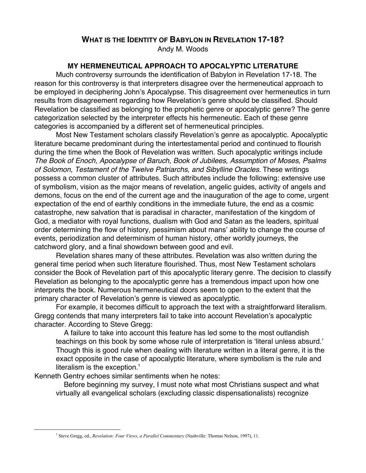## **WHAT IS THE IDENTITY OF BABYLON IN REVELATION 17-18?**

Andy M. Woods

# **MY HERMENEUTICAL APPROACH TO APOCALYPTIC LITERATURE**

Much controversy surrounds the identification of Babylon in Revelation 17-18. The reason for this controversy is that interpreters disagree over the hermeneutical approach to be employed in deciphering John's Apocalypse. This disagreement over hermeneutics in turn results from disagreement regarding how Revelation's genre should be classified. Should Revelation be classified as belonging to the prophetic genre or apocalyptic genre? The genre categorization selected by the interpreter effects his hermeneutic. Each of these genre categories is accompanied by a different set of hermeneutical principles.

Most New Testament scholars classify Revelation's genre as apocalyptic. Apocalyptic literature became predominant during the intertestamental period and continued to flourish during the time when the Book of Revelation was written. Such apocalyptic writings include The Book of Enoch, Apocalypse of Baruch, Book of Jubilees, Assumption of Moses, Psalms of Solomon, Testament of the Twelve Patriarchs, and Sibylline Oracles. These writings possess a common cluster of attributes. Such attributes include the following: extensive use of symbolism, vision as the major means of revelation, angelic guides, activity of angels and demons, focus on the end of the current age and the inauguration of the age to come, urgent expectation of the end of earthly conditions in the immediate future, the end as a cosmic catastrophe, new salvation that is paradisal in character, manifestation of the kingdom of God, a mediator with royal functions, dualism with God and Satan as the leaders, spiritual order determining the flow of history, pessimism about mans' ability to change the course of events, periodization and determinism of human history, other worldly journeys, the catchword glory, and a final showdown between good and evil.

Revelation shares many of these attributes. Revelation was also written during the general time period when such literature flourished. Thus, most New Testament scholars consider the Book of Revelation part of this apocalyptic literary genre. The decision to classify Revelation as belonging to the apocalyptic genre has a tremendous impact upon how one interprets the book. Numerous hermeneutical doors seem to open to the extent that the primary character of Revelation's genre is viewed as apocalyptic.

For example, it becomes difficult to approach the text with a straightforward literalism. Gregg contends that many interpreters fail to take into account Revelation's apocalyptic character. According to Steve Gregg:

 A failure to take into account this feature has led some to the most outlandish teachings on this book by some whose rule of interpretation is 'literal unless absurd.' Though this is good rule when dealing with literature written in a literal genre, it is the exact opposite in the case of apocalyptic literature, where symbolism is the rule and literalism is the exception. $<sup>1</sup>$ </sup>

Kenneth Gentry echoes similar sentiments when he notes:

 Before beginning my survey, I must note what most Christians suspect and what virtually all evangelical scholars (excluding classic dispensationalists) recognize

 $\frac{1}{1}$ <sup>1</sup> Steve Gregg, ed., *Revelation: Four Views, a Parallel Commentary* (Nashville: Thomas Nelson, 1997), 11.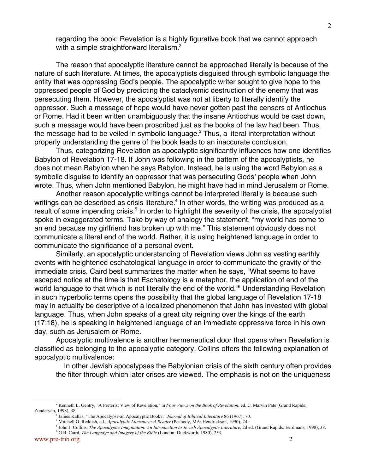regarding the book: Revelation is a highly figurative book that we cannot approach with a simple straightforward literalism.<sup>2</sup>

The reason that apocalyptic literature cannot be approached literally is because of the nature of such literature. At times, the apocalyptists disguised through symbolic language the entity that was oppressing God's people. The apocalyptic writer sought to give hope to the oppressed people of God by predicting the cataclysmic destruction of the enemy that was persecuting them. However, the apocalyptist was not at liberty to literally identify the oppressor. Such a message of hope would have never gotten past the censors of Antiochus or Rome. Had it been written unambiguously that the insane Antiochus would be cast down, such a message would have been proscribed just as the books of the law had been. Thus, the message had to be veiled in symbolic language. ${}^{3}$  Thus, a literal interpretation without properly understanding the genre of the book leads to an inaccurate conclusion.

Thus, categorizing Revelation as apocalyptic significantly influences how one identifies Babylon of Revelation 17-18. If John was following in the pattern of the apocalyptists, he does not mean Babylon when he says Babylon. Instead, he is using the word Babylon as a symbolic disguise to identify an oppressor that was persecuting Gods' people when John wrote. Thus, when John mentioned Babylon, he might have had in mind Jerusalem or Rome.

Another reason apocalyptic writings cannot be interpreted literally is because such writings can be described as crisis literature.<sup>4</sup> In other words, the writing was produced as a result of some impending crisis.<sup>5</sup> In order to highlight the severity of the crisis, the apocalyptist spoke in exaggerated terms. Take by way of analogy the statement, "my world has come to an end because my girlfriend has broken up with me." This statement obviously does not communicate a literal end of the world. Rather, it is using heightened language in order to communicate the significance of a personal event.

Similarly, an apocalyptic understanding of Revelation views John as vesting earthly events with heightened eschatological language in order to communicate the gravity of the immediate crisis. Caird best summarizes the matter when he says, "What seems to have escaped notice at the time is that Eschatology is a metaphor, the application of end of the world language to that which is not literally the end of the world."<sup>6</sup> Understanding Revelation in such hyperbolic terms opens the possibility that the global language of Revelation 17-18 may in actuality be descriptive of a localized phenomenon that John has invested with global language. Thus, when John speaks of a great city reigning over the kings of the earth (17:18), he is speaking in heightened language of an immediate oppressive force in his own day, such as Jerusalem or Rome.

Apocalyptic multivalence is another hermeneutical door that opens when Revelation is classified as belonging to the apocalyptic category. Collins offers the following explanation of apocalyptic multivalence:

 In other Jewish apocalypses the Babylonian crisis of the sixth century often provides the filter through which later crises are viewed. The emphasis is not on the uniqueness

 $\frac{1}{2}$ <sup>2</sup> Kenneth L. Gentry, "A Preterist View of Revelation," in *Four Views on the Book of Revelation*, ed. C. Marvin Pate (Grand Rapids: Zondervan, 1998), 38.

James Kallas, "The Apocalypse-an Apocalyptic Book?," *Journal of Biblical Literature* 86 (1967): 70.

<sup>4</sup> Mitchell G. Reddish, ed., *Apocalyptic Literature: A Reader* (Peabody, MA: Hendrickson, 1990), 24.

<sup>&</sup>lt;sup>5</sup> John J. Collins, *The Apocalyptic Imagination: An Introduction to Jewish Apocalyptic Literature*, 2d ed. (Grand Rapids: Eerdmans, 1998), 38.

<sup>6</sup> G.B. Caird, *The Language and Imagery of the Bible* (London: Duckworth, 1980), 253.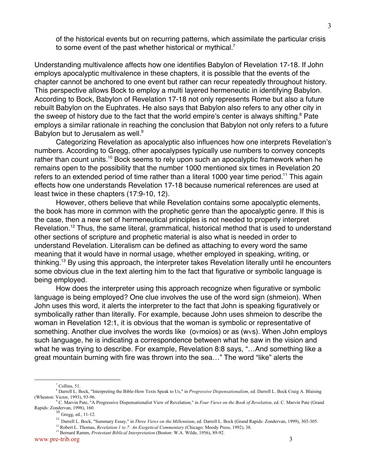of the historical events but on recurring patterns, which assimilate the particular crisis to some event of the past whether historical or mythical.<sup>7</sup>

Understanding multivalence affects how one identifies Babylon of Revelation 17-18. If John employs apocalyptic multivalence in these chapters, it is possible that the events of the chapter cannot be anchored to one event but rather can recur repeatedly throughout history. This perspective allows Bock to employ a multi layered hermeneutic in identifying Babylon. According to Bock, Babylon of Revelation 17-18 not only represents Rome but also a future rebuilt Babylon on the Euphrates. He also says that Babylon also refers to any other city in the sweep of history due to the fact that the world empire's center is always shifting.<sup>8</sup> Pate employs a similar rationale in reaching the conclusion that Babylon not only refers to a future Babylon but to Jerusalem as well.<sup>9</sup>

Categorizing Revelation as apocalyptic also influences how one interprets Revelation's numbers. According to Gregg, other apocalypses typically use numbers to convey concepts rather than count units.<sup>10</sup> Bock seems to rely upon such an apocalyptic framework when he remains open to the possibility that the number 1000 mentioned six times in Revelation 20 refers to an extended period of time rather than a literal 1000 year time period.<sup>11</sup> This again effects how one understands Revelation 17-18 because numerical references are used at least twice in these chapters (17:9-10, 12).

However, others believe that while Revelation contains some apocalyptic elements, the book has more in common with the prophetic genre than the apocalyptic genre. If this is the case, then a new set of hermeneutical principles is not needed to properly interpret Revelation.<sup>12</sup> Thus, the same literal, grammatical, historical method that is used to understand other sections of scripture and prophetic material is also what is needed in order to understand Revelation. Literalism can be defined as attaching to every word the same meaning that it would have in normal usage, whether employed in speaking, writing, or thinking.<sup>13</sup> By using this approach, the interpreter takes Revelation literally until he encounters some obvious clue in the text alerting him to the fact that figurative or symbolic language is being employed.

How does the interpreter using this approach recognize when figurative or symbolic language is being employed? One clue involves the use of the word sign (shmeion). When John uses this word, it alerts the interpreter to the fact that John is speaking figuratively or symbolically rather than literally. For example, because John uses shmeion to describe the woman in Revelation 12:1, it is obvious that the woman is symbolic or representative of something. Another clue involves the words like (ovmoios) or as (wvs). When John employs such language, he is indicating a correspondence between what he saw in the vision and what he was trying to describe. For example, Revelation 8:8 says, "…And something like a great mountain burning with fire was thrown into the sea…" The word "like" alerts the

<sup>&</sup>lt;u>7</u>  $<sup>7</sup>$  Collins, 51.</sup>

<sup>8</sup> Darrell L. Bock, "Interpreting the Bible-How Texts Speak to Us," in *Progressive Dispensationalism*, ed. Darrell L. Bock Craig A. Blaising (Wheaton: Victor, 1993), 93-96.

<sup>9</sup> C. Marvin Pate, "A Progressive Dispensationalist View of Revelation," in *Four Views on the Book of Revelation*, ed. C. Marvin Pate (Grand Rapids: Zondervan, 1998), 160. <sup>10</sup> Gregg, ed., 11-12.

<sup>11</sup> Darrell L. Bock, "Summary Essay," in *Three Views on the Millennium*, ed. Darrell L. Bock (Grand Rapids: Zondervan, 1999), 303-305.

<sup>&</sup>lt;sup>12</sup> Robert L. Thomas, *Revelation 1 to 7: An Exegetical Commentary* (Chicago: Moody Press, 1992), 38.

<sup>&</sup>lt;sup>13</sup> Bernard Ramm, *Protestant Biblical Interpretation* (Boston: W.A. Wilde, 1956), 89-92.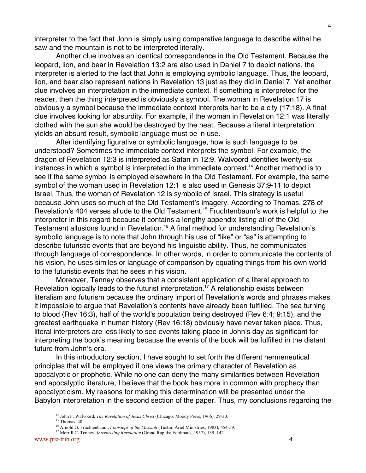4

interpreter to the fact that John is simply using comparative language to describe withal he saw and the mountain is not to be interpreted literally.

Another clue involves an identical correspondence in the Old Testament. Because the leopard, lion, and bear in Revelation 13:2 are also used in Daniel 7 to depict nations, the interpreter is alerted to the fact that John is employing symbolic language. Thus, the leopard, lion, and bear also represent nations in Revelation 13 just as they did in Daniel 7. Yet another clue involves an interpretation in the immediate context. If something is interpreted for the reader, then the thing interpreted is obviously a symbol. The woman in Revelation 17 is obviously a symbol because the immediate context interprets her to be a city (17:18). A final clue involves looking for absurdity. For example, if the woman in Revelation 12:1 was literally clothed with the sun she would be destroyed by the heat. Because a literal interpretation yields an absurd result, symbolic language must be in use.

After identifying figurative or symbolic language, how is such language to be understood? Sometimes the immediate context interprets the symbol. For example, the dragon of Revelation 12:3 is interpreted as Satan in 12:9. Walvoord identifies twenty-six instances in which a symbol is interpreted in the immediate context.<sup>14</sup> Another method is to see if the same symbol is employed elsewhere in the Old Testament. For example, the same symbol of the woman used in Revelation 12:1 is also used in Genesis 37:9-11 to depict Israel. Thus, the woman of Revelation 12 is symbolic of Israel. This strategy is useful because John uses so much of the Old Testament's imagery. According to Thomas, 278 of Revelation's 404 verses allude to the Old Testament.<sup>15</sup> Fruchtenbaum's work is helpful to the interpreter in this regard because it contains a lengthy appendix listing all of the Old Testament allusions found in Revelation.<sup>16</sup> A final method for understanding Revelation's symbolic language is to note that John through his use of "like" or "as" is attempting to describe futuristic events that are beyond his linguistic ability. Thus, he communicates through language of correspondence. In other words, in order to communicate the contents of his vision, he uses similes or language of comparison by equating things from his own world to the futuristic events that he sees in his vision.

Moreover, Tenney observes that a consistent application of a literal approach to Revelation logically leads to the futurist interpretation.<sup>17</sup> A relationship exists between literalism and futurism because the ordinary import of Revelation's words and phrases makes it impossible to argue that Revelation's contents have already been fulfilled. The sea turning to blood (Rev 16:3), half of the world's population being destroyed (Rev 6:4; 9:15), and the greatest earthquake in human history (Rev 16:18) obviously have never taken place. Thus, literal interpreters are less likely to see events taking place in John's day as significant for interpreting the book's meaning because the events of the book will be fulfilled in the distant future from John's era.

In this introductory section, I have sought to set forth the different hermeneutical principles that will be employed if one views the primary character of Revelation as apocalyptic or prophetic. While no one can deny the many similarities between Revelation and apocalyptic literature, I believe that the book has more in common with prophecy than apocalypticism. My reasons for making this determination will be presented under the Babylon interpretation in the second section of the paper. Thus, my conclusions regarding the

<sup>14&</sup>lt;br>14 <sup>14</sup> John F. Walvoord, *The Revelation of Jesus Christ* (Chicago: Moody Press, 1966), 29-30.

 $15$  Thomas, 40.

<sup>&</sup>lt;sup>16</sup> Arnold G. Fruchtenbaum, *Footsteps of the Messiah* (Tustin: Ariel Ministries, 1983), 454-59.

<sup>&</sup>lt;sup>17</sup> Merrill C. Tenney, *Interpreting Revelation* (Grand Rapids: Eerdmans, 1957), 139, 142.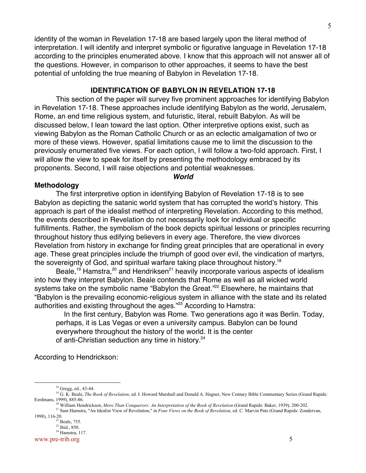identity of the woman in Revelation 17-18 are based largely upon the literal method of interpretation. I will identify and interpret symbolic or figurative language in Revelation 17-18 according to the principles enumerated above. I know that this approach will not answer all of the questions. However, in comparison to other approaches, it seems to have the best potential of unfolding the true meaning of Babylon in Revelation 17-18.

## **IDENTIFICATION OF BABYLON IN REVELATION 17-18**

This section of the paper will survey five prominent approaches for identifying Babylon in Revelation 17-18. These approaches include identifying Babylon as the world, Jerusalem, Rome, an end time religious system, and futuristic, literal, rebuilt Babylon. As will be discussed below, I lean toward the last option. Other interpretive options exist, such as viewing Babylon as the Roman Catholic Church or as an eclectic amalgamation of two or more of these views. However, spatial limitations cause me to limit the discussion to the previously enumerated five views. For each option, I will follow a two-fold approach. First, I will allow the view to speak for itself by presenting the methodology embraced by its proponents. Second, I will raise objections and potential weaknesses.

#### **World**

#### **Methodology**

The first interpretive option in identifying Babylon of Revelation 17-18 is to see Babylon as depicting the satanic world system that has corrupted the world's history. This approach is part of the idealist method of interpreting Revelation. According to this method, the events described in Revelation do not necessarily look for individual or specific fulfillments. Rather, the symbolism of the book depicts spiritual lessons or principles recurring throughout history thus edifying believers in every age. Therefore, the view divorces Revelation from history in exchange for finding great principles that are operational in every age. These great principles include the triumph of good over evil, the vindication of martyrs, the sovereignty of God, and spiritual warfare taking place throughout history.<sup>18</sup>

Beale,<sup>19</sup> Hamstra,<sup>20</sup> and Hendriksen<sup>21</sup> heavily incorporate various aspects of idealism into how they interpret Babylon. Beale contends that Rome as well as all wicked world systems take on the symbolic name "Babylon the Great."<sup>22</sup> Elsewhere, he maintains that "Babylon is the prevailing economic-religious system in alliance with the state and its related authorities and existing throughout the ages."<sup>23</sup> According to Hamstra:

 In the first century, Babylon was Rome. Two generations ago it was Berlin. Today, perhaps, it is Las Vegas or even a university campus. Babylon can be found everywhere throughout the history of the world. It is the center of anti-Christian seduction any time in history.<sup>24</sup>

According to Hendrickson:

## www.pre-trib.org 5

<sup>18&</sup>lt;br>18 <sup>18</sup> Gregg, ed., 43-44.

<sup>&</sup>lt;sup>19</sup> G. K. Beale, *The Book of Revelation*, ed. I. Howard Marshall and Donald A. Hagner, New Century Bible Commentary Series (Grand Rapids: Eerdmans, 1999), 885-86.<br><sup>20</sup> William Hendrickson, *More Than Conquerors: An Interpretation of the Book of Revelation* (Grand Rapids: Baker, 1939), 200-202.

<sup>21</sup> Sam Hamstra, "An Idealist View of Revelation," in *Four Views on the Book of Revelation*, ed. C. Marvin Pate (Grand Rapids: Zondervan, 1998), 116-20.<br><sup>22</sup> Beale, 755.

<sup>23</sup> Ibid., 850. 24 Hamstra, 117.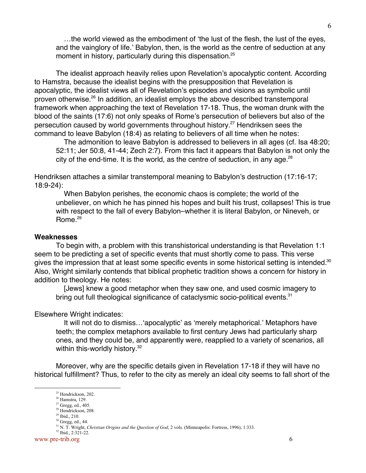…the world viewed as the embodiment of 'the lust of the flesh, the lust of the eyes, and the vainglory of life.' Babylon, then, is the world as the centre of seduction at any moment in history, particularly during this dispensation.<sup>25</sup>

The idealist approach heavily relies upon Revelation's apocalyptic content. According to Hamstra, because the idealist begins with the presupposition that Revelation is apocalyptic, the idealist views all of Revelation's episodes and visions as symbolic until proven otherwise.<sup>26</sup> In addition, an idealist employs the above described transtemporal framework when approaching the text of Revelation 17-18. Thus, the woman drunk with the blood of the saints (17:6) not only speaks of Rome's persecution of believers but also of the persecution caused by world governments throughout history.<sup>27</sup> Hendriksen sees the command to leave Babylon (18:4) as relating to believers of all time when he notes:

 The admonition to leave Babylon is addressed to believers in all ages (cf. Isa 48:20; 52:11; Jer 50:8, 41-44; Zech 2:7). From this fact it appears that Babylon is not only the city of the end-time. It is the world, as the centre of seduction, in any age.  $^{28}$ 

Hendriksen attaches a similar transtemporal meaning to Babylon's destruction (17:16-17; 18:9-24):

 When Babylon perishes, the economic chaos is complete; the world of the unbeliever, on which he has pinned his hopes and built his trust, collapses! This is true with respect to the fall of every Babylon–whether it is literal Babylon, or Nineveh, or Rome.<sup>29</sup>

## **Weaknesses**

To begin with, a problem with this transhistorical understanding is that Revelation 1:1 seem to be predicting a set of specific events that must shortly come to pass. This verse gives the impression that at least some specific events in some historical setting is intended.<sup>30</sup> Also, Wright similarly contends that biblical prophetic tradition shows a concern for history in addition to theology. He notes:

 [Jews] knew a good metaphor when they saw one, and used cosmic imagery to bring out full theological significance of cataclysmic socio-political events.<sup>31</sup>

Elsewhere Wright indicates:

 It will not do to dismiss…'apocalyptic' as 'merely metaphorical.' Metaphors have teeth; the complex metaphors available to first century Jews had particularly sharp ones, and they could be, and apparently were, reapplied to a variety of scenarios, all within this-worldly history.<sup>32</sup>

Moreover, why are the specific details given in Revelation 17-18 if they will have no historical fulfillment? Thus, to refer to the city as merely an ideal city seems to fall short of the

 <sup>25</sup> <sup>25</sup> Hendrickson, 202.

<sup>&</sup>lt;sup>26</sup> Hamstra, 129.

 $27$  Gregg, ed., 405.

<sup>&</sup>lt;sup>28</sup> Hendrickson, 208.

 $29$  Ibid., 210.  $30$  Gregg, ed., 44.

<sup>31</sup> N. T. Wright, *Christian Origins and the Question of God*, 2 vols. (Minneapolis: Fortress, 1996), 1:333.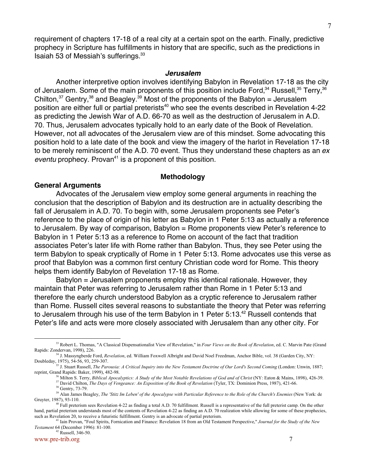requirement of chapters 17-18 of a real city at a certain spot on the earth. Finally, predictive prophecy in Scripture has fulfillments in history that are specific, such as the predictions in Isaiah 53 of Messiah's sufferings.33

#### **Jerusalem**

Another interpretive option involves identifying Babylon in Revelation 17-18 as the city of Jerusalem. Some of the main proponents of this position include Ford, $^{34}$  Russell, $^{35}$  Terry, $^{36}$ Chilton, $37$  Gentry,  $38$  and Beagley.  $39$  Most of the proponents of the Babylon = Jerusalem position are either full or partial preterists<sup>40</sup> who see the events described in Revelation 4-22 as predicting the Jewish War of A.D. 66-70 as well as the destruction of Jerusalem in A.D. 70. Thus, Jerusalem advocates typically hold to an early date of the Book of Revelation. However, not all advocates of the Jerusalem view are of this mindset. Some advocating this position hold to a late date of the book and view the imagery of the harlot in Revelation 17-18 to be merely reminiscent of the A.D. 70 event. Thus they understand these chapters as an ex eventu prophecy. Provan<sup>41</sup> is a proponent of this position.

#### **Methodology**

#### **General Arguments**

Advocates of the Jerusalem view employ some general arguments in reaching the conclusion that the description of Babylon and its destruction are in actuality describing the fall of Jerusalem in A.D. 70. To begin with, some Jerusalem proponents see Peter's reference to the place of origin of his letter as Babylon in 1 Peter 5:13 as actually a reference to Jerusalem. By way of comparison, Babylon = Rome proponents view Peter's reference to Babylon in 1 Peter 5:13 as a reference to Rome on account of the fact that tradition associates Peter's later life with Rome rather than Babylon. Thus, they see Peter using the term Babylon to speak cryptically of Rome in 1 Peter 5:13. Rome advocates use this verse as proof that Babylon was a common first century Christian code word for Rome. This theory helps them identify Babylon of Revelation 17-18 as Rome.

Babylon = Jerusalem proponents employ this identical rationale. However, they maintain that Peter was referring to Jerusalem rather than Rome in 1 Peter 5:13 and therefore the early church understood Babylon as a cryptic reference to Jerusalem rather than Rome. Russell cites several reasons to substantiate the theory that Peter was referring to Jerusalem through his use of the term Babylon in 1 Peter 5:13.<sup>42</sup> Russell contends that Peter's life and acts were more closely associated with Jerusalem than any other city. For

- <sup>36</sup> Milton S. Terry, *Biblical Apocalyptics: A Study of the Most Notable Revelations of God and of Christ* (NY: Eaton & Mains, 1898), 426-39. 37 David Chilton, *The Days of Vengeance: An Exposition of the Book of Revelation* (Tyler, TX: Dominion Press, 1987), 421-66.
- <sup>38</sup> Gentry, 73-79.

www.pre-trib.org 7 42 Russell, 346-50.

 <sup>33</sup> <sup>33</sup> Robert L. Thomas, "A Classical Dispensationalist View of Revelation," in *Four Views on the Book of Revelation*, ed. C. Marvin Pate (Grand Rapids: Zondervan, 1998), 226.<br><sup>34</sup> J. Massyngberde Ford, *Revelation*, ed. William Foxwell Albright and David Noel Freedman, Anchor Bible, vol. 38 (Garden City, NY:

Doubleday, 1975), 54-56, 93, 259-307.<br><sup>35</sup> J. Stuart Russell, *The Parousia: A Critical Inquiry into the New Testament Doctrine of Our Lord's Second Coming (London: Unwin, 1887;* 

reprint, Grand Rapids: Baker, 1999), 482-98.

<sup>&</sup>lt;sup>39</sup> Alan James Beagley, *The 'Stitz Im Leben' of the Apocalypse with Particular Reference to the Role of the Church's Enemies (New York: de* Gruyter, 1987), 93-110.<br><sup>40</sup> Full preterism sees Revelation 4-22 as finding a total A.D. 70 fulfillment. Russell is a representative of the full preterist camp. On the other

hand, partial preterism understands most of the contents of Revelation 4-22 as finding an A.D. 70 realization while allowing for some of these prophecies, such as Revelation 20, to receive a futuristic fulfillment. Gentry is an advocate of partial preterism.

<sup>41</sup> Iain Provan, "Foul Spirits, Fornication and Finance: Revelation 18 from an Old Testament Perspective," *Journal for the Study of the New Testament* 64 (December 1996): 81-100.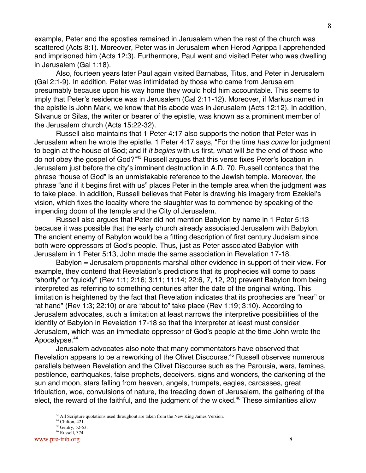example, Peter and the apostles remained in Jerusalem when the rest of the church was scattered (Acts 8:1). Moreover, Peter was in Jerusalem when Herod Agrippa I apprehended and imprisoned him (Acts 12:3). Furthermore, Paul went and visited Peter who was dwelling in Jerusalem (Gal 1:18).

Also, fourteen years later Paul again visited Barnabas, Titus, and Peter in Jerusalem (Gal 2:1-9). In addition, Peter was intimidated by those who came from Jerusalem presumably because upon his way home they would hold him accountable. This seems to imply that Peter's residence was in Jerusalem (Gal 2:11-12). Moreover, if Markus named in the epistle is John Mark, we know that his abode was in Jerusalem (Acts 12:12). In addition, Silvanus or Silas, the writer or bearer of the epistle, was known as a prominent member of the Jerusalem church (Acts 15:22-32).

Russell also maintains that 1 Peter 4:17 also supports the notion that Peter was in Jerusalem when he wrote the epistle. 1 Peter 4:17 says, "For the time has come for judgment to begin at the house of God; and if it begins with us first, what will be the end of those who do not obey the gospel of God?"<sup>43</sup> Russell argues that this verse fixes Peter's location in Jerusalem just before the city's imminent destruction in A.D. 70. Russell contends that the phrase "house of God" is an unmistakable reference to the Jewish temple. Moreover, the phrase "and if it begins first with us" places Peter in the temple area when the judgment was to take place. In addition, Russell believes that Peter is drawing his imagery from Ezekiel's vision, which fixes the locality where the slaughter was to commence by speaking of the impending doom of the temple and the City of Jerusalem.

Russell also argues that Peter did not mention Babylon by name in 1 Peter 5:13 because it was possible that the early church already associated Jerusalem with Babylon. The ancient enemy of Babylon would be a fitting description of first century Judaism since both were oppressors of God's people. Thus, just as Peter associated Babylon with Jerusalem in 1 Peter 5:13, John made the same association in Revelation 17-18.

Babylon = Jerusalem proponents marshal other evidence in support of their view. For example, they contend that Revelation's predictions that its prophecies will come to pass "shortly" or "quickly" (Rev 1:1; 2:16; 3:11; 11:14; 22:6, 7, 12, 20) prevent Babylon from being interpreted as referring to something centuries after the date of the original writing. This limitation is heightened by the fact that Revelation indicates that its prophecies are "near" or "at hand" (Rev 1:3; 22:10) or are "about to" take place (Rev 1:19; 3:10). According to Jerusalem advocates, such a limitation at least narrows the interpretive possibilities of the identity of Babylon in Revelation 17-18 so that the interpreter at least must consider Jerusalem, which was an immediate oppressor of God's people at the time John wrote the Apocalypse.<sup>44</sup>

Jerusalem advocates also note that many commentators have observed that Revelation appears to be a reworking of the Olivet Discourse.<sup>45</sup> Russell observes numerous parallels between Revelation and the Olivet Discourse such as the Parousia, wars, famines, pestilence, earthquakes, false prophets, deceivers, signs and wonders, the darkening of the sun and moon, stars falling from heaven, angels, trumpets, eagles, carcasses, great tribulation, woe, convulsions of nature, the treading down of Jerusalem, the gathering of the elect, the reward of the faithful, and the judgment of the wicked.<sup>46</sup> These similarities allow

 <sup>43</sup> <sup>43</sup> All Scripture quotations used throughout are taken from the New King James Version.

 $44$  Chilton, 421.

 $45$  Gentry, 52-53.

<sup>46</sup> Russell, 374.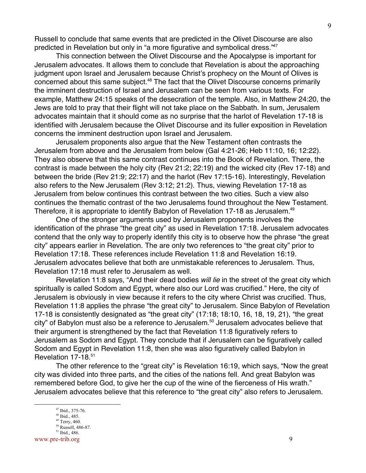Russell to conclude that same events that are predicted in the Olivet Discourse are also predicted in Revelation but only in "a more figurative and symbolical dress."47

This connection between the Olivet Discourse and the Apocalypse is important for Jerusalem advocates. It allows them to conclude that Revelation is about the approaching judgment upon Israel and Jerusalem because Christ's prophecy on the Mount of Olives is concerned about this same subject.<sup>48</sup> The fact that the Olivet Discourse concerns primarily the imminent destruction of Israel and Jerusalem can be seen from various texts. For example, Matthew 24:15 speaks of the desecration of the temple. Also, in Matthew 24:20, the Jews are told to pray that their flight will not take place on the Sabbath. In sum, Jerusalem advocates maintain that it should come as no surprise that the harlot of Revelation 17-18 is identified with Jerusalem because the Olivet Discourse and its fuller exposition in Revelation concerns the imminent destruction upon Israel and Jerusalem.

Jerusalem proponents also argue that the New Testament often contrasts the Jerusalem from above and the Jerusalem from below (Gal 4:21-26; Heb 11:10, 16; 12:22). They also observe that this same contrast continues into the Book of Revelation. There, the contrast is made between the holy city (Rev 21:2; 22:19) and the wicked city (Rev 17-18) and between the bride (Rev 21:9; 22:17) and the harlot (Rev 17:15-16). Interestingly, Revelation also refers to the New Jerusalem (Rev 3:12; 21:2). Thus, viewing Revelation 17-18 as Jerusalem from below continues this contrast between the two cities. Such a view also continues the thematic contrast of the two Jerusalems found throughout the New Testament. Therefore, it is appropriate to identify Babylon of Revelation 17-18 as Jerusalem.<sup>49</sup>

One of the stronger arguments used by Jerusalem proponents involves the identification of the phrase "the great city" as used in Revelation 17:18. Jerusalem advocates contend that the only way to properly identify this city is to observe how the phrase "the great city" appears earlier in Revelation. The are only two references to "the great city" prior to Revelation 17:18. These references include Revelation 11:8 and Revelation 16:19. Jerusalem advocates believe that both are unmistakable references to Jerusalem. Thus, Revelation 17:18 must refer to Jerusalem as well.

Revelation 11:8 says, "And their dead bodies will lie in the street of the great city which spiritually is called Sodom and Egypt, where also our Lord was crucified." Here, the city of Jerusalem is obviously in view because it refers to the city where Christ was crucified. Thus, Revelation 11:8 applies the phrase "the great city" to Jerusalem. Since Babylon of Revelation 17-18 is consistently designated as "the great city" (17:18; 18:10, 16, 18, 19, 21), "the great city" of Babylon must also be a reference to Jerusalem.<sup>50</sup> Jerusalem advocates believe that their argument is strengthened by the fact that Revelation 11:8 figuratively refers to Jerusalem as Sodom and Egypt. They conclude that if Jerusalem can be figuratively called Sodom and Egypt in Revelation 11:8, then she was also figuratively called Babylon in Revelation 17-18.<sup>51</sup>

The other reference to the "great city" is Revelation 16:19, which says, "Now the great city was divided into three parts, and the cities of the nations fell. And great Babylon was remembered before God, to give her the cup of the wine of the fierceness of His wrath." Jerusalem advocates believe that this reference to "the great city" also refers to Jerusalem.

 <sup>47</sup> <sup>47</sup> Ibid., 375-76.

<sup>48</sup> Ibid., 485.

 $49$  Terry, 460.

<sup>50</sup> Russell, 486-87. 51 Ibid., 486.

www.pre-trib.org 9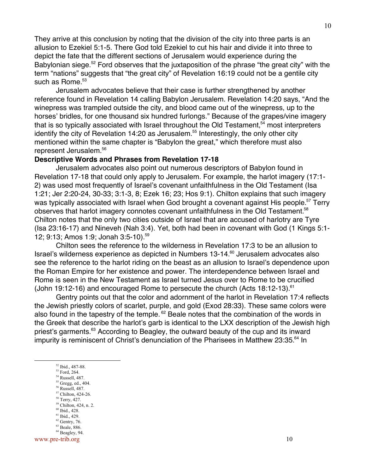They arrive at this conclusion by noting that the division of the city into three parts is an allusion to Ezekiel 5:1-5. There God told Ezekiel to cut his hair and divide it into three to depict the fate that the different sections of Jerusalem would experience during the Babylonian siege.<sup>52</sup> Ford observes that the juxtaposition of the phrase "the great city" with the term "nations" suggests that "the great city" of Revelation 16:19 could not be a gentile city such as Rome. $53$ 

Jerusalem advocates believe that their case is further strengthened by another reference found in Revelation 14 calling Babylon Jerusalem. Revelation 14:20 says, "And the winepress was trampled outside the city, and blood came out of the winepress, up to the horses' bridles, for one thousand six hundred furlongs." Because of the grapes/vine imagery that is so typically associated with Israel throughout the Old Testament,<sup>54</sup> most interpreters identify the city of Revelation 14:20 as Jerusalem.<sup>55</sup> Interestingly, the only other city mentioned within the same chapter is "Babylon the great," which therefore must also represent Jerusalem.56

## **Descriptive Words and Phrases from Revelation 17-18**

Jerusalem advocates also point out numerous descriptors of Babylon found in Revelation 17-18 that could only apply to Jerusalem. For example, the harlot imagery (17:1- 2) was used most frequently of Israel's covenant unfaithfulness in the Old Testament (Isa 1:21; Jer 2:20-24, 30-33; 3:1-3, 8; Ezek 16; 23; Hos 9:1). Chilton explains that such imagery was typically associated with Israel when God brought a covenant against His people.<sup>57</sup> Terry observes that harlot imagery connotes covenant unfaithfulness in the Old Testament.<sup>58</sup> Chilton notes that the only two cities outside of Israel that are accused of harlotry are Tyre (Isa 23:16-17) and Nineveh (Nah 3:4). Yet, both had been in covenant with God (1 Kings 5:1- 12; 9:13; Amos 1:9; Jonah 3:5-10).59

Chilton sees the reference to the wilderness in Revelation 17:3 to be an allusion to Israel's wilderness experience as depicted in Numbers 13-14.<sup>60</sup> Jerusalem advocates also see the reference to the harlot riding on the beast as an allusion to Israel's dependence upon the Roman Empire for her existence and power. The interdependence between Israel and Rome is seen in the New Testament as Israel turned Jesus over to Rome to be crucified (John 19:12-16) and encouraged Rome to persecute the church (Acts 18:12-13).  $61$ 

Gentry points out that the color and adornment of the harlot in Revelation 17:4 reflects the Jewish priestly colors of scarlet, purple, and gold (Exod 28:33). These same colors were also found in the tapestry of the temple. <sup>62</sup> Beale notes that the combination of the words in the Greek that describe the harlot's garb is identical to the LXX description of the Jewish high priest's garments.<sup>63</sup> According to Beagley, the outward beauty of the cup and its inward impurity is reminiscent of Christ's denunciation of the Pharisees in Matthew 23:35.<sup>64</sup> In

- 52 <sup>52</sup> Ibid., 487-88.
	- 53 Ford, 264.
	- 54 Russell, 487.
	- 55 Gregg, ed., 404.
	- 56 Russell, 487. 57 Chilton, 424-26.
	- <sup>58</sup> Terry, 427.
	- 59 Chilton, 424, n. 2.
	- 60 Ibid., 428.
	- 61 Ibid., 429.
	- $62$  Gentry, 76.
	- 63 Beale, 886. 64 Beagley, 94.

www.pre-trib.org 10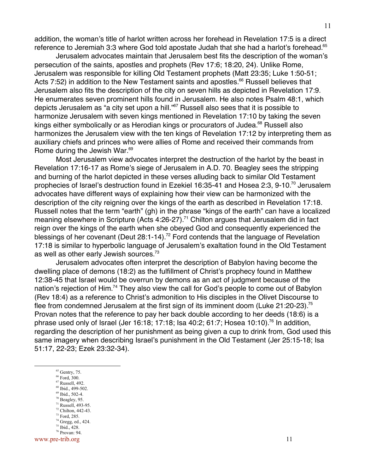addition, the woman's title of harlot written across her forehead in Revelation 17:5 is a direct reference to Jeremiah 3:3 where God told apostate Judah that she had a harlot's forehead.<sup>65</sup>

Jerusalem advocates maintain that Jerusalem best fits the description of the woman's persecution of the saints, apostles and prophets (Rev 17:6; 18:20, 24). Unlike Rome, Jerusalem was responsible for killing Old Testament prophets (Matt 23:35; Luke 1:50-51; Acts 7:52) in addition to the New Testament saints and apostles.<sup>66</sup> Russell believes that Jerusalem also fits the description of the city on seven hills as depicted in Revelation 17:9. He enumerates seven prominent hills found in Jerusalem. He also notes Psalm 48:1, which depicts Jerusalem as "a city set upon a hill."<sup>67</sup> Russell also sees that it is possible to harmonize Jerusalem with seven kings mentioned in Revelation 17:10 by taking the seven kings either symbolically or as Herodian kings or procurators of Judea.<sup>68</sup> Russell also harmonizes the Jerusalem view with the ten kings of Revelation 17:12 by interpreting them as auxiliary chiefs and princes who were allies of Rome and received their commands from Rome during the Jewish War.<sup>69</sup>

Most Jerusalem view advocates interpret the destruction of the harlot by the beast in Revelation 17:16-17 as Rome's siege of Jerusalem in A.D. 70. Beagley sees the stripping and burning of the harlot depicted in these verses alluding back to similar Old Testament prophecies of Israel's destruction found in Ezekiel 16:35-41 and Hosea 2:3, 9-10.<sup>70</sup> Jerusalem advocates have different ways of explaining how their view can be harmonized with the description of the city reigning over the kings of the earth as described in Revelation 17:18. Russell notes that the term "earth" (gh) in the phrase "kings of the earth" can have a localized meaning elsewhere in Scripture (Acts 4:26-27).<sup>71</sup> Chilton argues that Jerusalem did in fact reign over the kings of the earth when she obeyed God and consequently experienced the blessings of her covenant (Deut 28:1-14).<sup>72</sup> Ford contends that the language of Revelation 17:18 is similar to hyperbolic language of Jerusalem's exaltation found in the Old Testament as well as other early Jewish sources.<sup>73</sup>

Jerusalem advocates often interpret the description of Babylon having become the dwelling place of demons (18:2) as the fulfillment of Christ's prophecy found in Matthew 12:38-45 that Israel would be overrun by demons as an act of judgment because of the nation's rejection of Him.<sup>74</sup> They also view the call for God's people to come out of Babylon (Rev 18:4) as a reference to Christ's admonition to His disciples in the Olivet Discourse to flee from condemned Jerusalem at the first sign of its imminent doom (Luke 21:20-23).<sup>75</sup> Provan notes that the reference to pay her back double according to her deeds (18:6) is a phrase used only of Israel (Jer 16:18; 17:18; Isa 40:2; 61:7; Hosea 10:10).<sup>76</sup> In addition, regarding the description of her punishment as being given a cup to drink from, God used this same imagery when describing Israel's punishment in the Old Testament (Jer 25:15-18; Isa 51:17, 22-23; Ezek 23:32-34).

- 65  $65$  Gentry, 75.
	- 66 Ford, 300.
	- 67 Russell, 492.
	- 68 Ibid., 499-502. 69 Ibid., 502-4.
	- $70$  Beagley, 95.
	- 71 Russell, 493-95.
	- 72 Chilton, 442-43.
	- 73 Ford, 285.
	- 74 Gregg, ed., 424.
	- 75 Ibid., 428.

www.pre-trib.org 11 76 Provan: 94.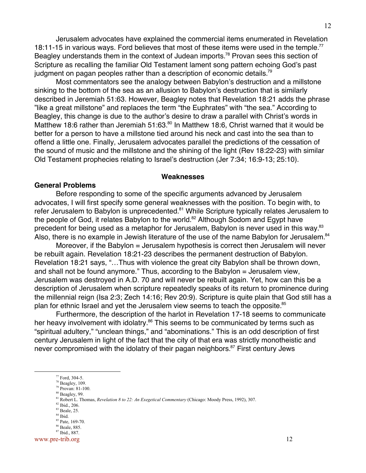Jerusalem advocates have explained the commercial items enumerated in Revelation 18:11-15 in various ways. Ford believes that most of these items were used in the temple.<sup>77</sup> Beagley understands them in the context of Judean imports.<sup>78</sup> Provan sees this section of Scripture as recalling the familiar Old Testament lament song pattern echoing God's past judgment on pagan peoples rather than a description of economic details.<sup>79</sup>

Most commentators see the analogy between Babylon's destruction and a millstone sinking to the bottom of the sea as an allusion to Babylon's destruction that is similarly described in Jeremiah 51:63. However, Beagley notes that Revelation 18:21 adds the phrase "like a great millstone" and replaces the term "the Euphrates" with "the sea." According to Beagley, this change is due to the author's desire to draw a parallel with Christ's words in Matthew 18:6 rather than Jeremiah 51:63.<sup>80</sup> In Matthew 18:6, Christ warned that it would be better for a person to have a millstone tied around his neck and cast into the sea than to offend a little one. Finally, Jerusalem advocates parallel the predictions of the cessation of the sound of music and the millstone and the shining of the light (Rev 18:22-23) with similar Old Testament prophecies relating to Israel's destruction (Jer 7:34; 16:9-13; 25:10).

#### **Weaknesses**

#### **General Problems**

Before responding to some of the specific arguments advanced by Jerusalem advocates, I will first specify some general weaknesses with the position. To begin with, to refer Jerusalem to Babylon is unprecedented.<sup>81</sup> While Scripture typically relates Jerusalem to the people of God, it relates Babylon to the world.<sup>82</sup> Although Sodom and Egypt have precedent for being used as a metaphor for Jerusalem, Babylon is never used in this way.<sup>83</sup> Also, there is no example in Jewish literature of the use of the name Babylon for Jerusalem.<sup>84</sup>

Moreover, if the Babylon = Jerusalem hypothesis is correct then Jerusalem will never be rebuilt again. Revelation 18:21-23 describes the permanent destruction of Babylon. Revelation 18:21 says, "…Thus with violence the great city Babylon shall be thrown down, and shall not be found anymore." Thus, according to the Babylon = Jerusalem view, Jerusalem was destroyed in A.D. 70 and will never be rebuilt again. Yet, how can this be a description of Jerusalem when scripture repeatedly speaks of its return to prominence during the millennial reign (Isa 2:3; Zech 14:16; Rev 20:9). Scripture is quite plain that God still has a plan for ethnic Israel and yet the Jerusalem view seems to teach the opposite.<sup>85</sup>

Furthermore, the description of the harlot in Revelation 17-18 seems to communicate her heavy involvement with idolatry.<sup>86</sup> This seems to be communicated by terms such as "spiritual adultery," "unclean things," and "abominations." This is an odd description of first century Jerusalem in light of the fact that the city of that era was strictly monotheistic and never compromised with the idolatry of their pagan neighbors.<sup>87</sup> First century Jews

- 82 Ibid., 206.
- 83 Beale, 25.
- 84 Ibid.
- <sup>85</sup> Pate, 169-70. 86 Beale, 885.
- 87 Ibid., 887.

www.pre-trib.org 12

<sup>&</sup>lt;u>77</u> Ford, 304-5.

 $78$  Beagley, 109.

<sup>79</sup> Provan: 81-100.

 $80$  Beagley, 99.

<sup>81</sup> Robert L. Thomas, *Revelation 8 to 22: An Exegetical Commentary* (Chicago: Moody Press, 1992), 307.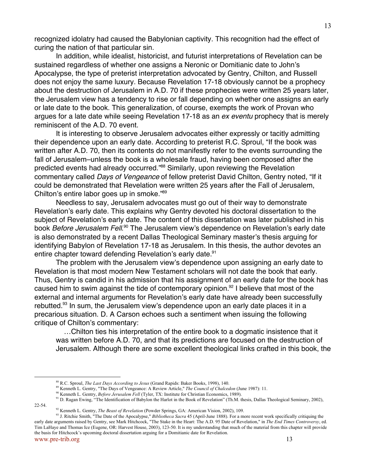recognized idolatry had caused the Babylonian captivity. This recognition had the effect of curing the nation of that particular sin.

In addition, while idealist, historicist, and futurist interpretations of Revelation can be sustained regardless of whether one assigns a Neronic or Domitianic date to John's Apocalypse, the type of preterist interpretation advocated by Gentry, Chilton, and Russell does not enjoy the same luxury. Because Revelation 17-18 obviously cannot be a prophecy about the destruction of Jerusalem in A.D. 70 if these prophecies were written 25 years later, the Jerusalem view has a tendency to rise or fall depending on whether one assigns an early or late date to the book. This generalization, of course, exempts the work of Provan who argues for a late date while seeing Revelation 17-18 as an ex eventu prophecy that is merely reminiscent of the A.D. 70 event.

It is interesting to observe Jerusalem advocates either expressly or tacitly admitting their dependence upon an early date. According to preterist R.C. Sproul, "If the book was written after A.D. 70, then its contents do not manifestly refer to the events surrounding the fall of Jerusalem–unless the book is a wholesale fraud, having been composed after the predicted events had already occurred."<sup>88</sup> Similarly, upon reviewing the Revelation commentary called Days of Vengeance of fellow preterist David Chilton, Gentry noted, "If it could be demonstrated that Revelation were written 25 years after the Fall of Jerusalem, Chilton's entire labor goes up in smoke."89

Needless to say, Jerusalem advocates must go out of their way to demonstrate Revelation's early date. This explains why Gentry devoted his doctoral dissertation to the subject of Revelation's early date. The content of this dissertation was later published in his book *Before Jerusalem Fell.*<sup>90</sup> The Jerusalem view's dependence on Revelation's early date is also demonstrated by a recent Dallas Theological Seminary master's thesis arguing for identifying Babylon of Revelation 17-18 as Jerusalem. In this thesis, the author devotes an entire chapter toward defending Revelation's early date.<sup>91</sup>

The problem with the Jerusalem view's dependence upon assigning an early date to Revelation is that most modern New Testament scholars will not date the book that early. Thus, Gentry is candid in his admission that his assignment of an early date for the book has caused him to swim against the tide of contemporary opinion.<sup>92</sup> I believe that most of the external and internal arguments for Revelation's early date have already been successfully rebutted.<sup>93</sup> In sum, the Jerusalem view's dependence upon an early date places it in a precarious situation. D. A Carson echoes such a sentiment when issuing the following critique of Chilton's commentary:

 …Chilton ties his interpretation of the entire book to a dogmatic insistence that it was written before A.D. 70, and that its predictions are focused on the destruction of Jerusalem. Although there are some excellent theological links crafted in this book, the

22-54.

 <sup>88</sup> R.C. Sproul, *The Last Days According to Jesus* (Grand Rapids: Baker Books, 1998), 140.

<sup>89</sup> Kenneth L. Gentry, "The Days of Vengeance: A Review Article," *The Council of Chalcedon* (June 1987): 11.

<sup>90</sup> Kenneth L. Gentry, *Before Jerusalem Fell* (Tyler, TX: Institute for Christian Economics, 1989).

<sup>&</sup>lt;sup>91</sup> D. Ragan Ewing, "The Identification of Babylon the Harlot in the Book of Revelation" (Th.M. thesis, Dallas Theological Seminary, 2002),

<sup>92</sup> Kenneth L. Gentry, *The Beast of Revelation* (Powder Springs, GA: American Vision, 2002), 109.

www.pre-trib.org 13 <sup>93</sup> J. Ritchie Smith, "The Date of the Apocalypse," *Bibliotheca Sacra* 45 (April-June 1888). For a more recent work specifically critiquing the early date arguments raised by Gentry, see Mark Hitchcock, "The Stake in the Heart: The A.D. 95 Date of Revelation," in *The End Times Controversy*, ed. Tim LaHaye and Thomas Ice (Eugene, OR: Harvest House, 2003), 123-50. It is my understanding that much of the material from this chapter will provide the basis for Hitchcock's upcoming doctoral dissertation arguing for a Domitianic date for Revelation.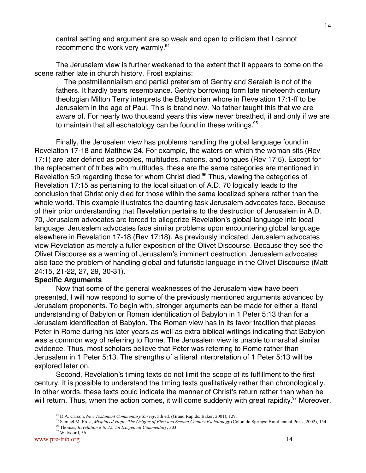central setting and argument are so weak and open to criticism that I cannot recommend the work very warmly.<sup>94</sup>

The Jerusalem view is further weakened to the extent that it appears to come on the scene rather late in church history. Frost explains:

 The postmillennialism and partial preterism of Gentry and Seraiah is not of the fathers. It hardly bears resemblance. Gentry borrowing form late nineteenth century theologian Milton Terry interprets the Babylonian whore in Revelation 17:1-ff to be Jerusalem in the age of Paul. This is brand new. No father taught this that we are aware of. For nearly two thousand years this view never breathed, if and only if we are to maintain that all eschatology can be found in these writings.<sup>95</sup>

Finally, the Jerusalem view has problems handling the global language found in Revelation 17-18 and Matthew 24. For example, the waters on which the woman sits (Rev 17:1) are later defined as peoples, multitudes, nations, and tongues (Rev 17:5). Except for the replacement of tribes with multitudes, these are the same categories are mentioned in Revelation 5:9 regarding those for whom Christ died.<sup>96</sup> Thus, viewing the categories of Revelation 17:15 as pertaining to the local situation of A.D. 70 logically leads to the conclusion that Christ only died for those within the same localized sphere rather than the whole world. This example illustrates the daunting task Jerusalem advocates face. Because of their prior understanding that Revelation pertains to the destruction of Jerusalem in A.D. 70, Jerusalem advocates are forced to allegorize Revelation's global language into local language. Jerusalem advocates face similar problems upon encountering global language elsewhere in Revelation 17-18 (Rev 17:18). As previously indicated, Jerusalem advocates view Revelation as merely a fuller exposition of the Olivet Discourse. Because they see the Olivet Discourse as a warning of Jerusalem's imminent destruction, Jerusalem advocates also face the problem of handling global and futuristic language in the Olivet Discourse (Matt 24:15, 21-22, 27, 29, 30-31).

#### **Specific Arguments**

Now that some of the general weaknesses of the Jerusalem view have been presented, I will now respond to some of the previously mentioned arguments advanced by Jerusalem proponents. To begin with, stronger arguments can be made for either a literal understanding of Babylon or Roman identification of Babylon in 1 Peter 5:13 than for a Jerusalem identification of Babylon. The Roman view has in its favor tradition that places Peter in Rome during his later years as well as extra biblical writings indicating that Babylon was a common way of referring to Rome. The Jerusalem view is unable to marshal similar evidence. Thus, most scholars believe that Peter was referring to Rome rather than Jerusalem in 1 Peter 5:13. The strengths of a literal interpretation of 1 Peter 5:13 will be explored later on.

Second, Revelation's timing texts do not limit the scope of its fulfillment to the first century. It is possible to understand the timing texts qualitatively rather than chronologically. In other words, these texts could indicate the manner of Christ's return rather than when he will return. Thus, when the action comes, it will come suddenly with great rapidity.<sup>97</sup> Moreover,

 <sup>94</sup> D.A. Carson, *New Testament Commentary Survey*, 5th ed. (Grand Rapids: Baker, 2001), 129.

<sup>&</sup>lt;sup>95</sup> Samuel M. Frost, *Misplaced Hope: The Origins of First and Second Century Eschatology* (Colorado Springs: Bimillennial Press, 2002), 154.

<sup>96</sup> Thomas, *Revelation 8 to 22: An Exegetical Commentary*, 303.

<sup>&</sup>lt;sup>97</sup> Walvoord, 56.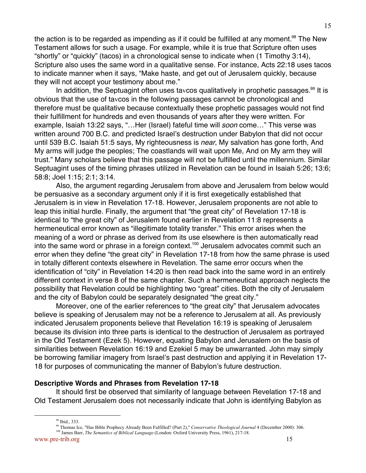the action is to be regarded as impending as if it could be fulfilled at any moment.<sup>98</sup> The New Testament allows for such a usage. For example, while it is true that Scripture often uses "shortly" or "quickly" (tacos) in a chronological sense to indicate when (1 Timothy 3:14), Scripture also uses the same word in a qualitative sense. For instance, Acts 22:18 uses tacos to indicate manner when it says, "Make haste, and get out of Jerusalem quickly, because they will not accept your testimony about me."

In addition, the Septuagint often uses tavcos qualitatively in prophetic passages.<sup>99</sup> It is obvious that the use of tavcos in the following passages cannot be chronological and therefore must be qualitative because contextually these prophetic passages would not find their fulfillment for hundreds and even thousands of years after they were written. For example, Isaiah 13:22 says, "...Her (Israel) fateful time will *soon* come..." This verse was written around 700 B.C. and predicted Israel's destruction under Babylon that did not occur until 539 B.C. Isaiah 51:5 says, My righteousness is near, My salvation has gone forth, And My arms will judge the peoples; The coastlands will wait upon Me, And on My arm they will trust." Many scholars believe that this passage will not be fulfilled until the millennium. Similar Septuagint uses of the timing phrases utilized in Revelation can be found in Isaiah 5:26; 13:6; 58:8; Joel 1:15; 2:1; 3:14.

Also, the argument regarding Jerusalem from above and Jerusalem from below would be persuasive as a secondary argument only if it is first exegetically established that Jerusalem is in view in Revelation 17-18. However, Jerusalem proponents are not able to leap this initial hurdle. Finally, the argument that "the great city" of Revelation 17-18 is identical to "the great city" of Jerusalem found earlier in Revelation 11:8 represents a hermeneutical error known as "illegitimate totality transfer." This error arises when the meaning of a word or phrase as derived from its use elsewhere is then automatically read into the same word or phrase in a foreign context.<sup>100</sup> Jerusalem advocates commit such an error when they define "the great city" in Revelation 17-18 from how the same phrase is used in totally different contexts elsewhere in Revelation. The same error occurs when the identification of "city" in Revelation 14:20 is then read back into the same word in an entirely different context in verse 8 of the same chapter. Such a hermeneutical approach neglects the possibility that Revelation could be highlighting two "great" cities. Both the city of Jerusalem and the city of Babylon could be separately designated "the great city."

Moreover, one of the earlier references to "the great city" that Jerusalem advocates believe is speaking of Jerusalem may not be a reference to Jerusalem at all. As previously indicated Jerusalem proponents believe that Revelation 16:19 is speaking of Jerusalem because its division into three parts is identical to the destruction of Jerusalem as portrayed in the Old Testament (Ezek 5). However, equating Babylon and Jerusalem on the basis of similarities between Revelation 16:19 and Ezekiel 5 may be unwarranted. John may simply be borrowing familiar imagery from Israel's past destruction and applying it in Revelation 17- 18 for purposes of communicating the manner of Babylon's future destruction.

## **Descriptive Words and Phrases from Revelation 17-18**

It should first be observed that similarity of language between Revelation 17-18 and Old Testament Jerusalem does not necessarily indicate that John is identifying Babylon as

www.pre-trib.org 15 <sup>100</sup> James Barr, *The Semantics of Biblical Language* (London: Oxford University Press, 1961), 217-18.

<sup>&</sup>lt;u>98</u> 98 Ibid., 333.

<sup>99</sup> Thomas Ice, "Has Bible Prophecy Already Been Fulfilled? (Part 2)," *Conservative Theological Journal* 4 (December 2000): 306.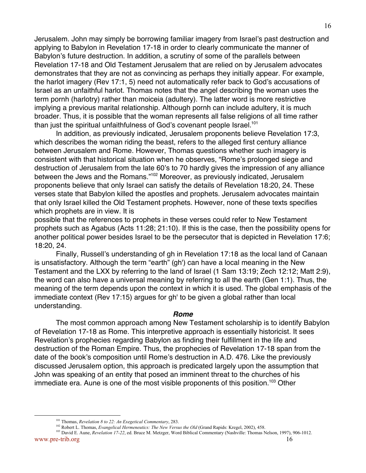Jerusalem. John may simply be borrowing familiar imagery from Israel's past destruction and applying to Babylon in Revelation 17-18 in order to clearly communicate the manner of Babylon's future destruction. In addition, a scrutiny of some of the parallels between Revelation 17-18 and Old Testament Jerusalem that are relied on by Jerusalem advocates demonstrates that they are not as convincing as perhaps they initially appear. For example, the harlot imagery (Rev 17:1, 5) need not automatically refer back to God's accusations of Israel as an unfaithful harlot. Thomas notes that the angel describing the woman uses the term pornh (harlotry) rather than moiceia (adultery). The latter word is more restrictive implying a previous marital relationship. Although pornh can include adultery, it is much broader. Thus, it is possible that the woman represents all false religions of all time rather than just the spiritual unfaithfulness of God's covenant people Israel.<sup>101</sup>

In addition, as previously indicated, Jerusalem proponents believe Revelation 17:3, which describes the woman riding the beast, refers to the alleged first century alliance between Jerusalem and Rome. However, Thomas questions whether such imagery is consistent with that historical situation when he observes, "Rome's prolonged siege and destruction of Jerusalem from the late 60's to 70 hardly gives the impression of any alliance between the Jews and the Romans."<sup>102</sup> Moreover, as previously indicated, Jerusalem proponents believe that only Israel can satisfy the details of Revelation 18:20, 24. These verses state that Babylon killed the apostles and prophets. Jerusalem advocates maintain that only Israel killed the Old Testament prophets. However, none of these texts specifies which prophets are in view. It is

possible that the references to prophets in these verses could refer to New Testament prophets such as Agabus (Acts 11:28; 21:10). If this is the case, then the possibility opens for another political power besides Israel to be the persecutor that is depicted in Revelation 17:6; 18:20, 24.

Finally, Russell's understanding of gh in Revelation 17:18 as the local land of Canaan is unsatisfactory. Although the term "earth" (gh') can have a local meaning in the New Testament and the LXX by referring to the land of Israel (1 Sam 13:19; Zech 12:12; Matt 2:9), the word can also have a universal meaning by referring to all the earth (Gen 1:1). Thus, the meaning of the term depends upon the context in which it is used. The global emphasis of the immediate context (Rev 17:15) argues for gh' to be given a global rather than local understanding.

#### **Rome**

The most common approach among New Testament scholarship is to identify Babylon of Revelation 17-18 as Rome. This interpretive approach is essentially historicist. It sees Revelation's prophecies regarding Babylon as finding their fulfillment in the life and destruction of the Roman Empire. Thus, the prophecies of Revelation 17-18 span from the date of the book's composition until Rome's destruction in A.D. 476. Like the previously discussed Jerusalem option, this approach is predicated largely upon the assumption that John was speaking of an entity that posed an imminent threat to the churches of his immediate era. Aune is one of the most visible proponents of this position.<sup>103</sup> Other

<sup>101</sup> <sup>101</sup> Thomas, *Revelation 8 to 22: An Exegetical Commentary*, 283.

<sup>&</sup>lt;sup>102</sup> Robert L. Thomas, *Evangelical Hermeneutics: The New Versus the Old* (Grand Rapids: Kregel, 2002), 458.

www.pre-trib.org 16 <sup>103</sup> David E. Aune, *Revelation 17-22*, ed. Bruce M. Metzger, Word Biblical Commentary (Nashville: Thomas Nelson, 1997), 906-1012.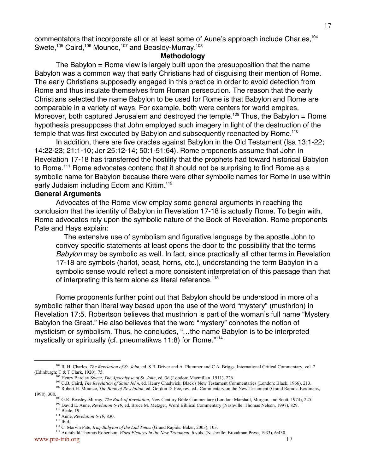commentators that incorporate all or at least some of Aune's approach include Charles.<sup>104</sup> Swete,<sup>105</sup> Caird,<sup>106</sup> Mounce,<sup>107</sup> and Beasley-Murray.<sup>108</sup>

### **Methodology**

The Babylon = Rome view is largely built upon the presupposition that the name Babylon was a common way that early Christians had of disguising their mention of Rome. The early Christians supposedly engaged in this practice in order to avoid detection from Rome and thus insulate themselves from Roman persecution. The reason that the early Christians selected the name Babylon to be used for Rome is that Babylon and Rome are comparable in a variety of ways. For example, both were centers for world empires. Moreover, both captured Jerusalem and destroyed the temple.<sup>109</sup> Thus, the Babylon = Rome hypothesis presupposes that John employed such imagery in light of the destruction of the temple that was first executed by Babylon and subsequently reenacted by Rome.<sup>110</sup>

In addition, there are five oracles against Babylon in the Old Testament (Isa 13:1-22; 14:22-23; 21:1-10; Jer 25:12-14; 50:1-51:64). Rome proponents assume that John in Revelation 17-18 has transferred the hostility that the prophets had toward historical Babylon to Rome.<sup>111</sup> Rome advocates contend that it should not be surprising to find Rome as a symbolic name for Babylon because there were other symbolic names for Rome in use within early Judaism including Edom and Kittim.<sup>112</sup>

### **General Arguments**

Advocates of the Rome view employ some general arguments in reaching the conclusion that the identity of Babylon in Revelation 17-18 is actually Rome. To begin with, Rome advocates rely upon the symbolic nature of the Book of Revelation. Rome proponents Pate and Hays explain:

 The extensive use of symbolism and figurative language by the apostle John to convey specific statements at least opens the door to the possibility that the terms Babylon may be symbolic as well. In fact, since practically all other terms in Revelation 17-18 are symbols (harlot, beast, horns, etc.), understanding the term Babylon in a symbolic sense would reflect a more consistent interpretation of this passage than that of interpreting this term alone as literal reference.<sup>113</sup>

Rome proponents further point out that Babylon should be understood in more of a symbolic rather than literal way based upon the use of the word "mystery" (musthrion) in Revelation 17:5. Robertson believes that musthrion is part of the woman's full name "Mystery Babylon the Great." He also believes that the word "mystery" connotes the notion of mysticism or symbolism. Thus, he concludes, "…the name Babylon is to be interpreted mystically or spiritually (cf. pneumatikws 11:8) for Rome."<sup>114</sup>

114 Archibald Thomas Robertson, *Word Pictures in the New Testament*, 6 vols. (Nashville: Broadman Press, 1933), 6:430.

<sup>104&</sup>lt;br>104 R. H. Charles, *The Revelation of St. John*, ed. S.R. Driver and A. Plummer and C.A. Briggs, International Critical Commentary, vol. 2 (Edinburgh: T & T Clark, 1920), 75.

<sup>105</sup> Henry Barclay Swete, *The Apocalypse of St. John*, ed. 3d (London: Macmillan, 1911), 226.

<sup>&</sup>lt;sup>106</sup> G.B. Caird, *The Revelation of Saint John*, ed. Henry Chadwick, Black's New Testament Commentaries (London: Black, 1966), 213. <sup>107</sup> Robert H. Mounce, *The Book of Revelation*, ed. Gordon D. Fee, rev. ed., Commentary on the New Testament (Grand Rapids: Eerdmans,

<sup>1998), 308.</sup> 

<sup>&</sup>lt;sup>108</sup> G.R. Beasley-Murray, *The Book of Revelation*, New Century Bible Commentary (London: Marshall, Morgan, and Scott, 1974), 225. <sup>109</sup> David E. Aune, *Revelation 6-19*, ed. Bruce M. Metzger, Word Biblical Commentary (Nashville: Thomas Nelson, 1997), 829.

<sup>&</sup>lt;sup>110</sup> Beale, 19.

<sup>111</sup> Aune, *Revelation 6-19*, 830.

 $112$  Ibid.

<sup>113</sup> C. Marvin Pate, *Iraq-Babylon of the End Times* (Grand Rapids: Baker, 2003), 103.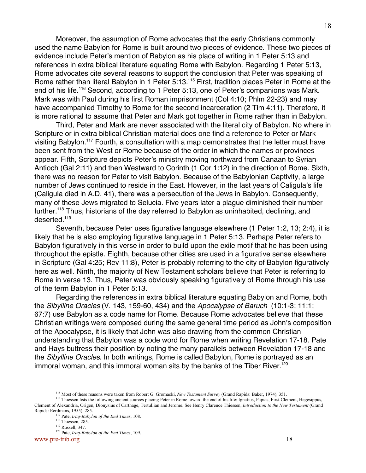Moreover, the assumption of Rome advocates that the early Christians commonly used the name Babylon for Rome is built around two pieces of evidence. These two pieces of evidence include Peter's mention of Babylon as his place of writing in 1 Peter 5:13 and references in extra biblical literature equating Rome with Babylon. Regarding 1 Peter 5:13, Rome advocates cite several reasons to support the conclusion that Peter was speaking of Rome rather than literal Babylon in 1 Peter 5:13.<sup>115</sup> First, tradition places Peter in Rome at the end of his life.<sup>116</sup> Second, according to 1 Peter 5:13, one of Peter's companions was Mark. Mark was with Paul during his first Roman imprisonment (Col 4:10; Phlm 22-23) and may have accompanied Timothy to Rome for the second incarceration (2 Tim 4:11). Therefore, it is more rational to assume that Peter and Mark got together in Rome rather than in Babylon.

Third, Peter and Mark are never associated with the literal city of Babylon. No where in Scripture or in extra biblical Christian material does one find a reference to Peter or Mark visiting Babylon.<sup>117</sup> Fourth, a consultation with a map demonstrates that the letter must have been sent from the West or Rome because of the order in which the names or provinces appear. Fifth, Scripture depicts Peter's ministry moving northward from Canaan to Syrian Antioch (Gal 2:11) and then Westward to Corinth (1 Cor 1:12) in the direction of Rome. Sixth, there was no reason for Peter to visit Babylon. Because of the Babylonian Captivity, a large number of Jews continued to reside in the East. However, in the last years of Caligula's life (Caligula died in A.D. 41), there was a persecution of the Jews in Babylon. Consequently, many of these Jews migrated to Selucia. Five years later a plague diminished their number further.<sup>118</sup> Thus, historians of the day referred to Babylon as uninhabited, declining, and deserted.<sup>119</sup>

Seventh, because Peter uses figurative language elsewhere (1 Peter 1:2, 13; 2:4), it is likely that he is also employing figurative language in 1 Peter 5:13. Perhaps Peter refers to Babylon figuratively in this verse in order to build upon the exile motif that he has been using throughout the epistle. Eighth, because other cities are used in a figurative sense elsewhere in Scripture (Gal 4:25; Rev 11:8), Peter is probably referring to the city of Babylon figuratively here as well. Ninth, the majority of New Testament scholars believe that Peter is referring to Rome in verse 13. Thus, Peter was obviously speaking figuratively of Rome through his use of the term Babylon in 1 Peter 5:13.

Regarding the references in extra biblical literature equating Babylon and Rome, both the Sibylline Oracles (V. 143, 159-60, 434) and the Apocalypse of Baruch (10:1-3; 11:1; 67:7) use Babylon as a code name for Rome. Because Rome advocates believe that these Christian writings were composed during the same general time period as John's composition of the Apocalypse, it is likely that John was also drawing from the common Christian understanding that Babylon was a code word for Rome when writing Revelation 17-18. Pate and Hays buttress their position by noting the many parallels between Revelation 17-18 and the *Sibylline Oracles*. In both writings, Rome is called Babylon, Rome is portrayed as an immoral woman, and this immoral woman sits by the banks of the Tiber River.<sup>120</sup>

<sup>115&</sup>lt;br>115 <sup>115</sup> Most of these reasons were taken from Robert G. Gromacki, *New Testament Survey* (Grand Rapids: Baker, 1974), 351.

<sup>&</sup>lt;sup>116</sup> Thiessen lists the following ancient sources placing Peter in Rome toward the end of his life: Ignatius, Papias, First Clement, Hegesippus, Clement of Alexandria, Origen, Dionysius of Carthage, Tertullian and Jerome. See Henry Clarence Thiessen, *Introduction to the New Testament* (Grand Rapids: Eerdmans, 1955), 285.

<sup>117</sup> Pate, *Iraq-Babylon of the End Times*, 108.

<sup>&</sup>lt;sup>118</sup> Thiessen, 285.

<sup>119</sup> Russell, 347.

<sup>120</sup> Pate, *Iraq-Babylon of the End Times*, 109.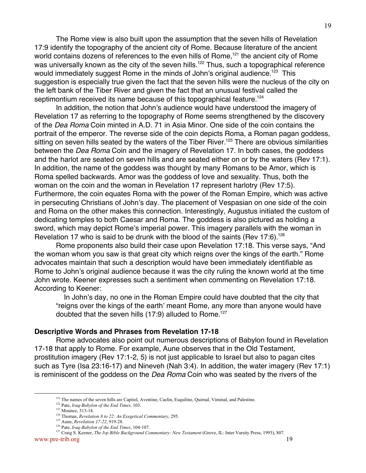The Rome view is also built upon the assumption that the seven hills of Revelation 17:9 identify the topography of the ancient city of Rome. Because literature of the ancient world contains dozens of references to the even hills of Rome,<sup>121</sup> the ancient city of Rome was universally known as the city of the seven hills.<sup>122</sup> Thus, such a topographical reference would immediately suggest Rome in the minds of John's original audience.<sup>123</sup> This suggestion is especially true given the fact that the seven hills were the nucleus of the city on the left bank of the Tiber River and given the fact that an unusual festival called the septimontium received its name because of this topographical feature.<sup>124</sup>

In addition, the notion that John's audience would have understood the imagery of Revelation 17 as referring to the topography of Rome seems strengthened by the discovery of the Dea Roma Coin minted in A.D. 71 in Asia Minor. One side of the coin contains the portrait of the emperor. The reverse side of the coin depicts Roma, a Roman pagan goddess, sitting on seven hills seated by the waters of the Tiber River.<sup>125</sup> There are obvious similarities between the Dea Roma Coin and the imagery of Revelation 17. In both cases, the goddess and the harlot are seated on seven hills and are seated either on or by the waters (Rev 17:1). In addition, the name of the goddess was thought by many Romans to be Amor, which is Roma spelled backwards. Amor was the goddess of love and sexuality. Thus, both the woman on the coin and the woman in Revelation 17 represent harlotry (Rev 17:5). Furthermore, the coin equates Roma with the power of the Roman Empire, which was active in persecuting Christians of John's day. The placement of Vespasian on one side of the coin and Roma on the other makes this connection. Interestingly, Augustus initiated the custom of dedicating temples to both Caesar and Roma. The goddess is also pictured as holding a sword, which may depict Rome's imperial power. This imagery parallels with the woman in Revelation 17 who is said to be drunk with the blood of the saints (Rev 17:6).<sup>126</sup>

Rome proponents also build their case upon Revelation 17:18. This verse says, "And the woman whom you saw is that great city which reigns over the kings of the earth." Rome advocates maintain that such a description would have been immediately identifiable as Rome to John's original audience because it was the city ruling the known world at the time John wrote. Keener expresses such a sentiment when commenting on Revelation 17:18. According to Keener:

 In John's day, no one in the Roman Empire could have doubted that the city that "reigns over the kings of the earth' meant Rome, any more than anyone would have doubted that the seven hills  $(17:9)$  alluded to Rome.<sup>127</sup>

#### **Descriptive Words and Phrases from Revelation 17-18**

Rome advocates also point out numerous descriptions of Babylon found in Revelation 17-18 that apply to Rome. For example, Aune observes that in the Old Testament, prostitution imagery (Rev 17:1-2, 5) is not just applicable to Israel but also to pagan cites such as Tyre (Isa 23:16-17) and Nineveh (Nah 3:4). In addition, the water imagery (Rev 17:1) is reminiscent of the goddess on the Dea Roma Coin who was seated by the rivers of the

<sup>121&</sup>lt;br>121 <sup>121</sup> The names of the seven hills are Capitol, Aventine, Caelin, Esquiline, Quirnal, Viminal, and Palestine.

<sup>122</sup> Pate, *Iraq-Babylon of the End Times*, 103.

<sup>123</sup> Mounce, 313-14.

<sup>124</sup> Thomas, *Revelation 8 to 22: An Exegetical Commentary*, 295.

<sup>125</sup> Aune, *Revelation 17-22*, 919-28.

<sup>126</sup> Pate, *Iraq-Babylon of the End Times*, 104-107.

www.pre-trib.org 19 <sup>127</sup> Craig S. Keener, *The Ivp Bible Background Commentary: New Testament* (Grove, IL: Inter Varsity Press, 1993), 807.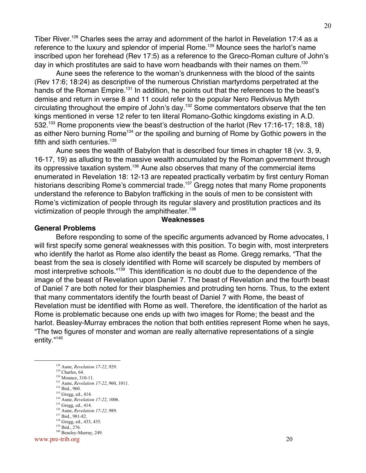Tiber River.<sup>128</sup> Charles sees the array and adornment of the harlot in Revelation 17:4 as a reference to the luxury and splendor of imperial Rome.<sup>129</sup> Mounce sees the harlot's name inscribed upon her forehead (Rev 17:5) as a reference to the Greco-Roman culture of John's day in which prostitutes are said to have worn headbands with their names on them.<sup>130</sup>

Aune sees the reference to the woman's drunkenness with the blood of the saints (Rev 17:6; 18:24) as descriptive of the numerous Christian martyrdoms perpetrated at the hands of the Roman Empire.<sup>131</sup> In addition, he points out that the references to the beast's demise and return in verse 8 and 11 could refer to the popular Nero Redivivus Myth circulating throughout the empire of John's day.<sup>132</sup> Some commentators observe that the ten kings mentioned in verse 12 refer to ten literal Romano-Gothic kingdoms existing in A.D. 532.<sup>133</sup> Rome proponents view the beast's destruction of the harlot (Rev 17:16-17; 18:8, 18) as either Nero burning Rome<sup>134</sup> or the spoiling and burning of Rome by Gothic powers in the fifth and sixth centuries.<sup>135</sup>

Aune sees the wealth of Babylon that is described four times in chapter 18 (vv. 3, 9, 16-17, 19) as alluding to the massive wealth accumulated by the Roman government through its oppressive taxation system.<sup>136</sup> Aune also observes that many of the commercial items enumerated in Revelation 18: 12-13 are repeated practically verbatim by first century Roman historians describing Rome's commercial trade.<sup>137</sup> Gregg notes that many Rome proponents understand the reference to Babylon trafficking in the souls of men to be consistent with Rome's victimization of people through its regular slavery and prostitution practices and its victimization of people through the amphitheater.<sup>138</sup>

### **Weaknesses**

#### **General Problems**

Before responding to some of the specific arguments advanced by Rome advocates, I will first specify some general weaknesses with this position. To begin with, most interpreters who identify the harlot as Rome also identify the beast as Rome. Gregg remarks, "That the beast from the sea is closely identified with Rome will scarcely be disputed by members of most interpretive schools."<sup>139</sup> This identification is no doubt due to the dependence of the image of the beast of Revelation upon Daniel 7. The beast of Revelation and the fourth beast of Daniel 7 are both noted for their blasphemies and protruding ten horns. Thus, to the extent that many commentators identify the fourth beast of Daniel 7 with Rome, the beast of Revelation must be identified with Rome as well. Therefore, the identification of the harlot as Rome is problematic because one ends up with two images for Rome; the beast and the harlot. Beasley-Murray embraces the notion that both entities represent Rome when he says, "The two figures of monster and woman are really alternative representations of a single entity."140

- <sup>133</sup> Gregg, ed., 414.
- 134 Aune, *Revelation 17-22*, 1006.
- <sup>135</sup> Gregg, ed., 414.
- 136 Aune, *Revelation 17-22*, 989.
- 137 Ibid., 981-82. <sup>138</sup> Gregg, ed., 433, 435.

www.pre-trib.org 20

<sup>128&</sup>lt;br>128 Aune, *Revelation 17-22*, 929.

<sup>&</sup>lt;sup>129</sup> Charles, 64.

<sup>&</sup>lt;sup>130</sup> Mounce, 310-11.

<sup>131</sup> Aune, *Revelation 17-22*, 960, 1011. 132 Ibid., 960.

<sup>139</sup> Ibid., 276.

<sup>&</sup>lt;sup>140</sup> Beasley-Murray, 249.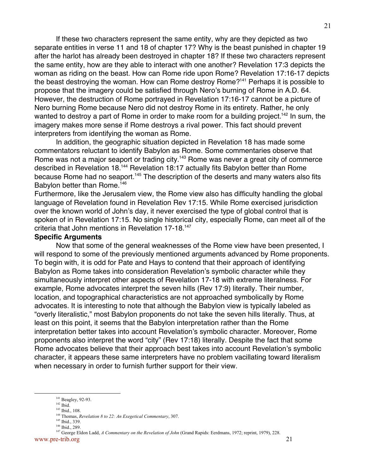If these two characters represent the same entity, why are they depicted as two separate entities in verse 11 and 18 of chapter 17? Why is the beast punished in chapter 19 after the harlot has already been destroyed in chapter 18? If these two characters represent the same entity, how are they able to interact with one another? Revelation 17:3 depicts the woman as riding on the beast. How can Rome ride upon Rome? Revelation 17:16-17 depicts the beast destroying the woman. How can Rome destroy Rome?<sup>141</sup> Perhaps it is possible to propose that the imagery could be satisfied through Nero's burning of Rome in A.D. 64. However, the destruction of Rome portrayed in Revelation 17:16-17 cannot be a picture of Nero burning Rome because Nero did not destroy Rome in its entirety. Rather, he only wanted to destroy a part of Rome in order to make room for a building project.<sup>142</sup> In sum, the imagery makes more sense if Rome destroys a rival power. This fact should prevent interpreters from identifying the woman as Rome.

In addition, the geographic situation depicted in Revelation 18 has made some commentators reluctant to identify Babylon as Rome. Some commentaries observe that Rome was not a major seaport or trading city.<sup>143</sup> Rome was never a great city of commerce described in Revelation 18.<sup>144</sup> Revelation 18:17 actually fits Babylon better than Rome because Rome had no seaport.<sup>145</sup> The description of the deserts and many waters also fits Babylon better than Rome.<sup>146</sup>

Furthermore, like the Jerusalem view, the Rome view also has difficulty handling the global language of Revelation found in Revelation Rev 17:15. While Rome exercised jurisdiction over the known world of John's day, it never exercised the type of global control that is spoken of in Revelation 17:15. No single historical city, especially Rome, can meet all of the criteria that John mentions in Revelation 17-18.<sup>147</sup>

#### **Specific Arguments**

Now that some of the general weaknesses of the Rome view have been presented, I will respond to some of the previously mentioned arguments advanced by Rome proponents. To begin with, it is odd for Pate and Hays to contend that their approach of identifying Babylon as Rome takes into consideration Revelation's symbolic character while they simultaneously interpret other aspects of Revelation 17-18 with extreme literalness. For example, Rome advocates interpret the seven hills (Rev 17:9) literally. Their number, location, and topographical characteristics are not approached symbolically by Rome advocates. It is interesting to note that although the Babylon view is typically labeled as "overly literalistic," most Babylon proponents do not take the seven hills literally. Thus, at least on this point, it seems that the Babylon interpretation rather than the Rome interpretation better takes into account Revelation's symbolic character. Moreover, Rome proponents also interpret the word "city" (Rev 17:18) literally. Despite the fact that some Rome advocates believe that their approach best takes into account Revelation's symbolic character, it appears these same interpreters have no problem vacillating toward literalism when necessary in order to furnish further support for their view.

<sup>141</sup> <sup>141</sup> Beagley, 92-93.

<sup>142</sup> Ibid.

<sup>143</sup> Ibid., 108. 144 Thomas, *Revelation 8 to 22: An Exegetical Commentary*, 307.

<sup>&</sup>lt;sup>145</sup> Ibid., 339.

<sup>146</sup> Ibid., 289.

www.pre-trib.org 21 147 George Eldon Ladd, *A Commentary on the Revelation of John* (Grand Rapids: Eerdmans, 1972; reprint, 1979), 228.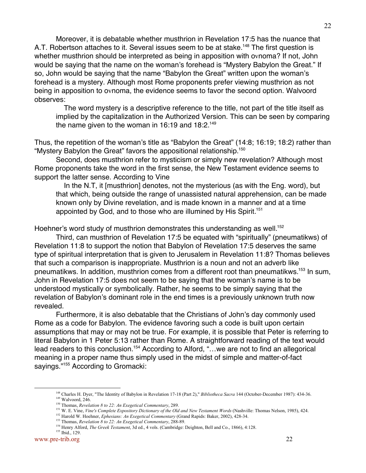Moreover, it is debatable whether musthrion in Revelation 17:5 has the nuance that A.T. Robertson attaches to it. Several issues seem to be at stake.<sup>148</sup> The first question is whether musthrion should be interpreted as being in apposition with ovnoma? If not, John would be saying that the name on the woman's forehead is "Mystery Babylon the Great." If so, John would be saying that the name "Babylon the Great" written upon the woman's forehead is a mystery. Although most Rome proponents prefer viewing musthrion as not being in apposition to ovnoma, the evidence seems to favor the second option. Walvoord observes:

 The word mystery is a descriptive reference to the title, not part of the title itself as implied by the capitalization in the Authorized Version. This can be seen by comparing the name given to the woman in 16:19 and  $18:2.^{149}$ 

Thus, the repetition of the woman's title as "Babylon the Great" (14:8; 16:19; 18:2) rather than "Mystery Babylon the Great" favors the appositional relationship.<sup>150</sup>

Second, does musthrion refer to mysticism or simply new revelation? Although most Rome proponents take the word in the first sense, the New Testament evidence seems to support the latter sense. According to Vine

 In the N.T, it [musthrion] denotes, not the mysterious (as with the Eng. word), but that which, being outside the range of unassisted natural apprehension, can be made known only by Divine revelation, and is made known in a manner and at a time appointed by God, and to those who are illumined by His Spirit.<sup>151</sup>

Hoehner's word study of musthrion demonstrates this understanding as well.<sup>152</sup>

Third, can musthrion of Revelation 17:5 be equated with "spiritually" (pneumatikws) of Revelation 11:8 to support the notion that Babylon of Revelation 17:5 deserves the same type of spiritual interpretation that is given to Jerusalem in Revelation 11:8? Thomas believes that such a comparison is inappropriate. Musthrion is a noun and not an adverb like pneumatikws. In addition, musthrion comes from a different root than pneumatikws.<sup>153</sup> In sum, John in Revelation 17:5 does not seem to be saying that the woman's name is to be understood mystically or symbolically. Rather, he seems to be simply saying that the revelation of Babylon's dominant role in the end times is a previously unknown truth now revealed.

Furthermore, it is also debatable that the Christians of John's day commonly used Rome as a code for Babylon. The evidence favoring such a code is built upon certain assumptions that may or may not be true. For example, it is possible that Peter is referring to literal Babylon in 1 Peter 5:13 rather than Rome. A straightforward reading of the text would lead readers to this conclusion.<sup>154</sup> According to Alford, "...we are not to find an allegorical meaning in a proper name thus simply used in the midst of simple and matter-of-fact sayings."<sup>155</sup> According to Gromacki:

<sup>148&</sup>lt;br>148 Charles H. Dyer, "The Identity of Babylon in Revelation 17-18 (Part 2)," *Bibliotheca Sacra* 144 (October-December 1987): 434-36. <sup>149</sup> Walvoord, 246.

<sup>150</sup> Thomas, *Revelation 8 to 22: An Exegetical Commentary*, 289.

<sup>&</sup>lt;sup>151</sup> W. E. Vine, *Vine's Complete Expository Dictionary of the Old and New Testament Words* (Nashville: Thomas Nelson, 1985), 424.

<sup>152</sup> Harold W. Hoehner, *Ephesians: An Exegetical Commentary* (Grand Rapids: Baker, 2002), 428-34.

<sup>153</sup> Thomas, *Revelation 8 to 22: An Exegetical Commentary*, 288-89.

<sup>&</sup>lt;sup>154</sup> Henry Alford, *The Greek Testament*, 3d ed., 4 vols. (Cambridge: Deighton, Bell and Co., 1866), 4:128. 155 Ibid., 129.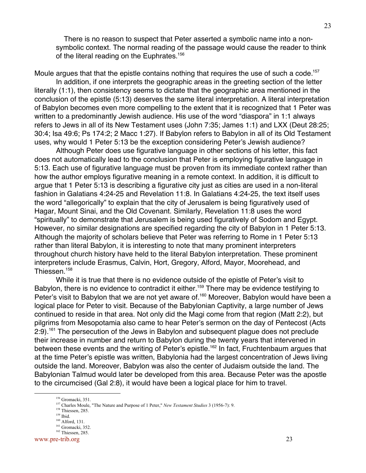There is no reason to suspect that Peter asserted a symbolic name into a nonsymbolic context. The normal reading of the passage would cause the reader to think of the literal reading on the Euphrates.<sup>156</sup>

Moule argues that that the epistle contains nothing that requires the use of such a code.<sup>157</sup>

In addition, if one interprets the geographic areas in the greeting section of the letter literally (1:1), then consistency seems to dictate that the geographic area mentioned in the conclusion of the epistle (5:13) deserves the same literal interpretation. A literal interpretation of Babylon becomes even more compelling to the extent that it is recognized that 1 Peter was written to a predominantly Jewish audience. His use of the word "diaspora" in 1:1 always refers to Jews in all of its New Testament uses (John 7:35; James 1:1) and LXX (Deut 28:25; 30:4; Isa 49:6; Ps 174:2; 2 Macc 1:27). If Babylon refers to Babylon in all of its Old Testament uses, why would 1 Peter 5:13 be the exception considering Peter's Jewish audience?

Although Peter does use figurative language in other sections of his letter, this fact does not automatically lead to the conclusion that Peter is employing figurative language in 5:13. Each use of figurative language must be proven from its immediate context rather than how the author employs figurative meaning in a remote context. In addition, it is difficult to argue that 1 Peter 5:13 is describing a figurative city just as cities are used in a non-literal fashion in Galatians 4:24-25 and Revelation 11:8. In Galatians 4:24-25, the text itself uses the word "allegorically" to explain that the city of Jerusalem is being figuratively used of Hagar, Mount Sinai, and the Old Covenant. Similarly, Revelation 11:8 uses the word "spiritually" to demonstrate that Jerusalem is being used figuratively of Sodom and Egypt. However, no similar designations are specified regarding the city of Babylon in 1 Peter 5:13. Although the majority of scholars believe that Peter was referring to Rome in 1 Peter 5:13 rather than literal Babylon, it is interesting to note that many prominent interpreters throughout church history have held to the literal Babylon interpretation. These prominent interpreters include Erasmus, Calvin, Hort, Gregory, Alford, Mayor, Moorehead, and Thiessen.<sup>158</sup>

While it is true that there is no evidence outside of the epistle of Peter's visit to Babylon, there is no evidence to contradict it either.<sup>159</sup> There may be evidence testifying to Peter's visit to Babylon that we are not yet aware of.<sup>160</sup> Moreover, Babylon would have been a logical place for Peter to visit. Because of the Babylonian Captivity, a large number of Jews continued to reside in that area. Not only did the Magi come from that region (Matt 2:2), but pilgrims from Mesopotamia also came to hear Peter's sermon on the day of Pentecost (Acts 2:9).<sup>161</sup> The persecution of the Jews in Babylon and subsequent plague does not preclude their increase in number and return to Babylon during the twenty years that intervened in between these events and the writing of Peter's epistle.<sup>162</sup> In fact, Fruchtenbaum argues that at the time Peter's epistle was written, Babylonia had the largest concentration of Jews living outside the land. Moreover, Babylon was also the center of Judaism outside the land. The Babylonian Talmud would later be developed from this area. Because Peter was the apostle to the circumcised (Gal 2:8), it would have been a logical place for him to travel.

<sup>156&</sup>lt;br>156 <sup>156</sup> Gromacki, 351.

<sup>157</sup> Charles Moule, "The Nature and Purpose of 1 Peter," *New Testament Studies* 3 (1956-7): 9.

<sup>&</sup>lt;sup>158</sup> Thiessen, 285.

<sup>159</sup> Ibid.

<sup>160</sup> Alford, 131. <sup>161</sup> Gromacki, 352.

<sup>162</sup> Thiessen, 285.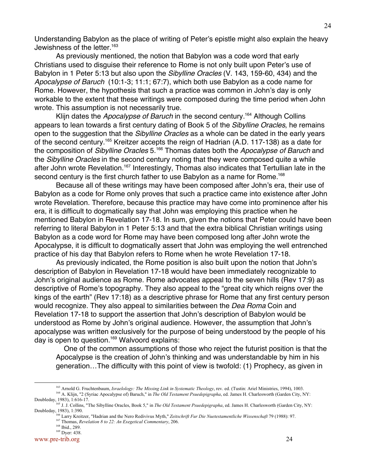Understanding Babylon as the place of writing of Peter's epistle might also explain the heavy Jewishness of the letter.<sup>163</sup>

As previously mentioned, the notion that Babylon was a code word that early Christians used to disguise their reference to Rome is not only built upon Peter's use of Babylon in 1 Peter 5:13 but also upon the Sibylline Oracles (V. 143, 159-60, 434) and the Apocalypse of Baruch (10:1-3; 11:1; 67:7), which both use Babylon as a code name for Rome. However, the hypothesis that such a practice was common in John's day is only workable to the extent that these writings were composed during the time period when John wrote. This assumption is not necessarily true.

Klijn dates the Apocalypse of Baruch in the second century.<sup>164</sup> Although Collins appears to lean towards a first century dating of Book 5 of the Sibylline Oracles, he remains open to the suggestion that the Sibylline Oracles as a whole can be dated in the early years of the second century.<sup>165</sup> Kreitzer accepts the reign of Hadrian (A.D. 117-138) as a date for the composition of Sibylline Oracles 5.<sup>166</sup> Thomas dates both the Apocalypse of Baruch and the Sibylline Oracles in the second century noting that they were composed quite a while after John wrote Revelation.<sup>167</sup> Interestingly, Thomas also indicates that Tertullian late in the second century is the first church father to use Babylon as a name for Rome.<sup>168</sup>

Because all of these writings may have been composed after John's era, their use of Babylon as a code for Rome only proves that such a practice came into existence after John wrote Revelation. Therefore, because this practice may have come into prominence after his era, it is difficult to dogmatically say that John was employing this practice when he mentioned Babylon in Revelation 17-18. In sum, given the notions that Peter could have been referring to literal Babylon in 1 Peter 5:13 and that the extra biblical Christian writings using Babylon as a code word for Rome may have been composed long after John wrote the Apocalypse, it is difficult to dogmatically assert that John was employing the well entrenched practice of his day that Babylon refers to Rome when he wrote Revelation 17-18.

As previously indicated, the Rome position is also built upon the notion that John's description of Babylon in Revelation 17-18 would have been immediately recognizable to John's original audience as Rome. Rome advocates appeal to the seven hills (Rev 17:9) as descriptive of Rome's topography. They also appeal to the "great city which reigns over the kings of the earth" (Rev 17:18) as a descriptive phrase for Rome that any first century person would recognize. They also appeal to similarities between the Dea Roma Coin and Revelation 17-18 to support the assertion that John's description of Babylon would be understood as Rome by John's original audience. However, the assumption that John's apocalypse was written exclusively for the purpose of being understood by the people of his day is open to question.<sup>169</sup> Walvoord explains:

 One of the common assumptions of those who reject the futurist position is that the Apocalypse is the creation of John's thinking and was understandable by him in his generation…The difficulty with this point of view is twofold: (1) Prophecy, as given in

<sup>163</sup> <sup>163</sup> Arnold G. Fruchtenbaum, *Israelology: The Missing Link in Systematic Theology*, rev. ed. (Tustin: Ariel Ministries, 1994), 1003. <sup>164</sup> A. Klijn, "2 (Syriac Apocalypse of) Baruch," in *The Old Testament Psuedepigrapha*, ed. James H. Charlesworth (Garden City, NY:

Doubleday, 1983), 1:616-17.<br><sup>165</sup> J. J. Collins, "The Sibylline Oracles, Book 5," in *The Old Testament Psuedepigrapha*, ed. James H. Charlesworth (Garden City, NY: Doubleday, 1983), 1:390.

<sup>166</sup> Larry Kreitzer, "Hadrian and the Nero Redivivus Myth," *Zeitschrift Fur Die Nuetestamentliche Wissenschaft* 79 (1988): 97.

<sup>167</sup> Thomas, *Revelation 8 to 22: An Exegetical Commentary*, 206.

<sup>168</sup> Ibid., 289.

<sup>&</sup>lt;sup>169</sup> Dyer: 438.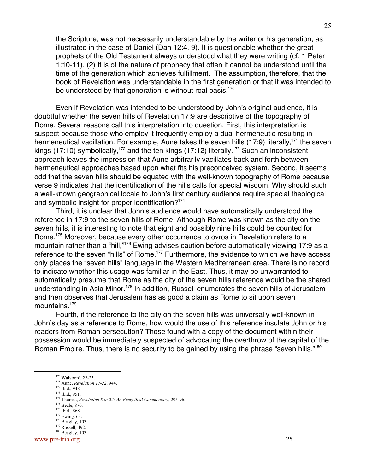the Scripture, was not necessarily understandable by the writer or his generation, as illustrated in the case of Daniel (Dan 12:4, 9). It is questionable whether the great prophets of the Old Testament always understood what they were writing (cf. 1 Peter 1:10-11). (2) It is of the nature of prophecy that often it cannot be understood until the time of the generation which achieves fulfillment. The assumption, therefore, that the book of Revelation was understandable in the first generation or that it was intended to be understood by that generation is without real basis.<sup>170</sup>

Even if Revelation was intended to be understood by John's original audience, it is doubtful whether the seven hills of Revelation 17:9 are descriptive of the topography of Rome. Several reasons call this interpretation into question. First, this interpretation is suspect because those who employ it frequently employ a dual hermeneutic resulting in hermeneutical vacillation. For example, Aune takes the seven hills (17:9) literally,<sup>171</sup> the seven kings (17:10) symbolically,<sup>172</sup> and the ten kings (17:12) literally.<sup>173</sup> Such an inconsistent approach leaves the impression that Aune arbitrarily vacillates back and forth between hermeneutical approaches based upon what fits his preconceived system. Second, it seems odd that the seven hills should be equated with the well-known topography of Rome because verse 9 indicates that the identification of the hills calls for special wisdom. Why should such a well-known geographical locale to John's first century audience require special theological and symbolic insight for proper identification?<sup>174</sup>

Third, it is unclear that John's audience would have automatically understood the reference in 17:9 to the seven hills of Rome. Although Rome was known as the city on the seven hills, it is interesting to note that eight and possibly nine hills could be counted for Rome.<sup>175</sup> Moreover, because every other occurrence to ovros in Revelation refers to a mountain rather than a "hill,"<sup>176</sup> Ewing advises caution before automatically viewing 17:9 as a reference to the seven "hills" of Rome.<sup>177</sup> Furthermore, the evidence to which we have access only places the "seven hills" language in the Western Mediterranean area. There is no record to indicate whether this usage was familiar in the East. Thus, it may be unwarranted to automatically presume that Rome as the city of the seven hills reference would be the shared understanding in Asia Minor.<sup>178</sup> In addition, Russell enumerates the seven hills of Jerusalem and then observes that Jerusalem has as good a claim as Rome to sit upon seven mountains.<sup>179</sup>

Fourth, if the reference to the city on the seven hills was universally well-known in John's day as a reference to Rome, how would the use of this reference insulate John or his readers from Roman persecution? Those found with a copy of the document within their possession would be immediately suspected of advocating the overthrow of the capital of the Roman Empire. Thus, there is no security to be gained by using the phrase "seven hills."<sup>180</sup>

 $177$  Ewing, 63.

<sup>170&</sup>lt;br>170 <sup>170</sup> Walvoord, 22-23.

<sup>171</sup> Aune, *Revelation 17-22*, 944.

<sup>&</sup>lt;sup>172</sup> Ibid., 948.

 $173$  Ibid., 951.

<sup>174</sup> Thomas, *Revelation 8 to 22: An Exegetical Commentary*, 295-96.

<sup>175</sup> Beale, 870.

<sup>176</sup> Ibid., 868.

 $178$  Beagley, 103. 179 Russell, 492.

 $180$  Beagley, 103.

www.pre-trib.org 25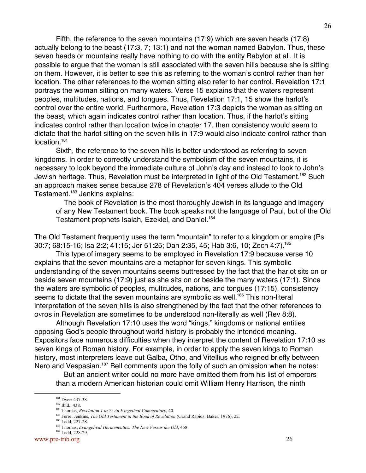Fifth, the reference to the seven mountains (17:9) which are seven heads (17:8) actually belong to the beast (17:3, 7; 13:1) and not the woman named Babylon. Thus, these seven heads or mountains really have nothing to do with the entity Babylon at all. It is possible to argue that the woman is still associated with the seven hills because she is sitting on them. However, it is better to see this as referring to the woman's control rather than her location. The other references to the woman sitting also refer to her control. Revelation 17:1 portrays the woman sitting on many waters. Verse 15 explains that the waters represent peoples, multitudes, nations, and tongues. Thus, Revelation 17:1, 15 show the harlot's control over the entire world. Furthermore, Revelation 17:3 depicts the woman as sitting on the beast, which again indicates control rather than location. Thus, if the harlot's sitting indicates control rather than location twice in chapter 17, then consistency would seem to dictate that the harlot sitting on the seven hills in 17:9 would also indicate control rather than location.<sup>181</sup>

Sixth, the reference to the seven hills is better understood as referring to seven kingdoms. In order to correctly understand the symbolism of the seven mountains, it is necessary to look beyond the immediate culture of John's day and instead to look to John's Jewish heritage. Thus, Revelation must be interpreted in light of the Old Testament.<sup>182</sup> Such an approach makes sense because 278 of Revelation's 404 verses allude to the Old Testament.<sup>183</sup> Jenkins explains:

 The book of Revelation is the most thoroughly Jewish in its language and imagery of any New Testament book. The book speaks not the language of Paul, but of the Old Testament prophets Isaiah, Ezekiel, and Daniel.<sup>184</sup>

The Old Testament frequently uses the term "mountain" to refer to a kingdom or empire (Ps 30:7; 68:15-16; Isa 2:2; 41:15; Jer 51:25; Dan 2:35, 45; Hab 3:6, 10; Zech 4:7).185

This type of imagery seems to be employed in Revelation 17:9 because verse 10 explains that the seven mountains are a metaphor for seven kings. This symbolic understanding of the seven mountains seems buttressed by the fact that the harlot sits on or beside seven mountains (17:9) just as she sits on or beside the many waters (17:1). Since the waters are symbolic of peoples, multitudes, nations, and tongues (17:15), consistency seems to dictate that the seven mountains are symbolic as well.<sup>186</sup> This non-literal interpretation of the seven hills is also strengthened by the fact that the other references to ovros in Revelation are sometimes to be understood non-literally as well (Rev 8:8).

Although Revelation 17:10 uses the word "kings," kingdoms or national entities opposing God's people throughout world history is probably the intended meaning. Expositors face numerous difficulties when they interpret the content of Revelation 17:10 as seven kings of Roman history. For example, in order to apply the seven kings to Roman history, most interpreters leave out Galba, Otho, and Vitellius who reigned briefly between Nero and Vespasian.<sup>187</sup> Bell comments upon the folly of such an omission when he notes:

 But an ancient writer could no more have omitted them from his list of emperors than a modern American historian could omit William Henry Harrison, the ninth

<sup>181&</sup>lt;br>181 <sup>181</sup> Dyer: 437-38.

<sup>182</sup> Ibid.: 438.

<sup>183</sup> Thomas, *Revelation 1 to 7: An Exegetical Commentary*, 40.

<sup>&</sup>lt;sup>184</sup> Ferrel Jenkins, *The Old Testament in the Book of Revelation* (Grand Rapids: Baker, 1976), 22.

<sup>&</sup>lt;sup>185</sup> Ladd, 227-28.

<sup>186</sup> Thomas, *Evangelical Hermeneutics: The New Versus the Old*, 458.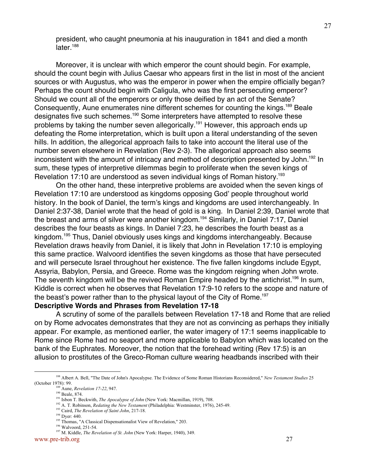president, who caught pneumonia at his inauguration in 1841 and died a month later.<sup>188</sup>

Moreover, it is unclear with which emperor the count should begin. For example, should the count begin with Julius Caesar who appears first in the list in most of the ancient sources or with Augustus, who was the emperor in power when the empire officially began? Perhaps the count should begin with Caligula, who was the first persecuting emperor? Should we count all of the emperors or only those deified by an act of the Senate? Consequently, Aune enumerates nine different schemes for counting the kings.<sup>189</sup> Beale designates five such schemes.<sup>190</sup> Some interpreters have attempted to resolve these problems by taking the number seven allegorically.<sup>191</sup> However, this approach ends up defeating the Rome interpretation, which is built upon a literal understanding of the seven hills. In addition, the allegorical approach fails to take into account the literal use of the number seven elsewhere in Revelation (Rev 2-3). The allegorical approach also seems inconsistent with the amount of intricacy and method of description presented by John.<sup>192</sup> In sum, these types of interpretive dilemmas begin to proliferate when the seven kings of Revelation 17:10 are understood as seven individual kings of Roman history.<sup>193</sup>

On the other hand, these interpretive problems are avoided when the seven kings of Revelation 17:10 are understood as kingdoms opposing God' people throughout world history. In the book of Daniel, the term's kings and kingdoms are used interchangeably. In Daniel 2:37-38, Daniel wrote that the head of gold is a king. In Daniel 2:39, Daniel wrote that the breast and arms of silver were another kingdom.<sup>194</sup> Similarly, in Daniel 7:17, Daniel describes the four beasts as kings. In Daniel 7:23, he describes the fourth beast as a kingdom.<sup>195</sup> Thus, Daniel obviously uses kings and kingdoms interchangeably. Because Revelation draws heavily from Daniel, it is likely that John in Revelation 17:10 is employing this same practice. Walvoord identifies the seven kingdoms as those that have persecuted and will persecute Israel throughout her existence. The five fallen kingdoms include Egypt, Assyria, Babylon, Persia, and Greece. Rome was the kingdom reigning when John wrote. The seventh kingdom will be the revived Roman Empire headed by the antichrist.<sup>196</sup> In sum, Kiddle is correct when he observes that Revelation 17:9-10 refers to the scope and nature of the beast's power rather than to the physical layout of the City of Rome.<sup>197</sup>

**Descriptive Words and Phrases from Revelation 17-18**

A scrutiny of some of the parallels between Revelation 17-18 and Rome that are relied on by Rome advocates demonstrates that they are not as convincing as perhaps they initially appear. For example, as mentioned earlier, the water imagery of 17:1 seems inapplicable to Rome since Rome had no seaport and more applicable to Babylon which was located on the bank of the Euphrates. Moreover, the notion that the forehead writing (Rev 17:5) is an allusion to prostitutes of the Greco-Roman culture wearing headbands inscribed with their

<sup>188&</sup>lt;br>188<br>188 <sup>188</sup> Albert A. Bell, "The Date of John's Apocalypse. The Evidence of Some Roman Historians Reconsidered," *New Testament Studies* 25 (October 1978): 99.

<sup>189</sup> Aune, *Revelation 17-22*, 947.

<sup>&</sup>lt;sup>190</sup> Beale, 874.

<sup>&</sup>lt;sup>191</sup> Isbon T. Beckwith, *The Apocalypse of John* (New York: Macmillan, 1919), 708.

<sup>&</sup>lt;sup>192</sup> A. T. Robinson, *Redating the New Testament* (Philadelphia: Westminster, 1976), 245-49.

<sup>193</sup> Caird, *The Revelation of Saint John*, 217-18.

<sup>&</sup>lt;sup>194</sup> Dyer: 440.

<sup>&</sup>lt;sup>195</sup> Thomas, "A Classical Dispensationalist View of Revelation," 203.

<sup>196</sup> Walvoord, 251-54.

<sup>197</sup> M. Kiddle, *The Revelation of St. John* (New York: Harper, 1940), 349.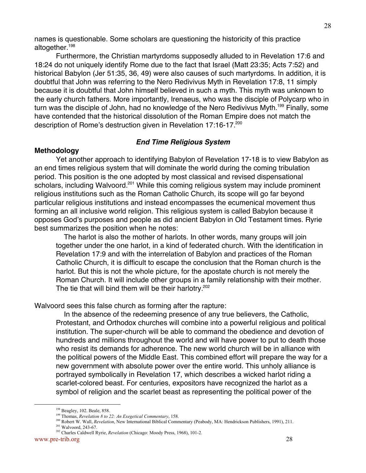names is questionable. Some scholars are questioning the historicity of this practice altogether.198

Furthermore, the Christian martyrdoms supposedly alluded to in Revelation 17:6 and 18:24 do not uniquely identify Rome due to the fact that Israel (Matt 23:35; Acts 7:52) and historical Babylon (Jer 51:35, 36, 49) were also causes of such martyrdoms. In addition, it is doubtful that John was referring to the Nero Redivivus Myth in Revelation 17:8, 11 simply because it is doubtful that John himself believed in such a myth. This myth was unknown to the early church fathers. More importantly, Irenaeus, who was the disciple of Polycarp who in turn was the disciple of John, had no knowledge of the Nero Redivivus Myth.<sup>199</sup> Finally, some have contended that the historical dissolution of the Roman Empire does not match the description of Rome's destruction given in Revelation 17:16-17.<sup>200</sup>

## **End Time Religious System**

### **Methodology**

Yet another approach to identifying Babylon of Revelation 17-18 is to view Babylon as an end times religious system that will dominate the world during the coming tribulation period. This position is the one adopted by most classical and revised dispensational scholars, including Walvoord.<sup>201</sup> While this coming religious system may include prominent religious institutions such as the Roman Catholic Church, its scope will go far beyond particular religious institutions and instead encompasses the ecumenical movement thus forming an all inclusive world religion. This religious system is called Babylon because it opposes God's purposes and people as did ancient Babylon in Old Testament times. Ryrie best summarizes the position when he notes:

 The harlot is also the mother of harlots. In other words, many groups will join together under the one harlot, in a kind of federated church. With the identification in Revelation 17:9 and with the interrelation of Babylon and practices of the Roman Catholic Church, it is difficult to escape the conclusion that the Roman church is the harlot. But this is not the whole picture, for the apostate church is not merely the Roman Church. It will include other groups in a family relationship with their mother. The tie that will bind them will be their harlotry.<sup>202</sup>

Walvoord sees this false church as forming after the rapture:

 In the absence of the redeeming presence of any true believers, the Catholic, Protestant, and Orthodox churches will combine into a powerful religious and political institution. The super-church will be able to command the obedience and devotion of hundreds and millions throughout the world and will have power to put to death those who resist its demands for adherence. The new world church will be in alliance with the political powers of the Middle East. This combined effort will prepare the way for a new government with absolute power over the entire world. This unholy alliance is portrayed symbolically in Revelation 17, which describes a wicked harlot riding a scarlet-colored beast. For centuries, expositors have recognized the harlot as a symbol of religion and the scarlet beast as representing the political power of the

<sup>198&</sup>lt;br>198 <sup>198</sup> Beagley, 102. Beale, 858.

<sup>199</sup> Thomas, *Revelation 8 to 22: An Exegetical Commentary*, 158.

<sup>200</sup> Robert W. Wall, *Revelation*, New International Biblical Commentary (Peabody, MA: Hendrickson Publishers, 1991), 211.

<sup>&</sup>lt;sup>201</sup> Walvoord, 243-67.

<sup>202</sup> Charles Caldwell Ryrie, *Revelation* (Chicago: Moody Press, 1968), 101-2.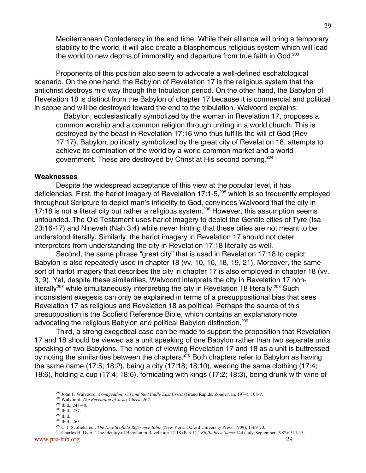Mediterranean Confederacy in the end time. While their alliance will bring a temporary stability to the world, it will also create a blasphemous religious system which will lead the world to new depths of immorality and departure from true faith in God.<sup>203</sup>

Proponents of this position also seem to advocate a well-defined eschatological scenario. On the one hand, the Babylon of Revelation 17 is the religious system that the antichrist destroys mid way though the tribulation period. On the other hand, the Babylon of Revelation 18 is distinct from the Babylon of chapter 17 because it is commercial and political in scope and will be destroyed toward the end to the tribulation. Walvoord explains:

 Babylon, ecclesiastically symbolized by the woman in Revelation 17, proposes a common worship and a common religion through uniting in a world church. This is destroyed by the beast in Revelation 17:16 who thus fulfills the will of God (Rev 17:17). Babylon, politically symbolized by the great city of Revelation 18, attempts to achieve its domination of the world by a world common market and a world government. These are destroyed by Christ at His second coming.204

#### **Weaknesses**

Despite the widespread acceptance of this view at the popular level, it has deficiencies. First, the harlot imagery of Revelation 17:1-5,<sup>205</sup> which is so frequently employed throughout Scripture to depict man's infidelity to God, convinces Walvoord that the city in 17:18 is not a literal city but rather a religious system.<sup>206</sup> However, this assumption seems unfounded. The Old Testament uses harlot imagery to depict the Gentile cities of Tyre (Isa 23:16-17) and Nineveh (Nah 3:4) while never hinting that these cities are not meant to be understood literally. Similarly, the harlot imagery in Revelation 17 should not deter interpreters from understanding the city in Revelation 17:18 literally as well.

Second, the same phrase "great city" that is used in Revelation 17:18 to depict Babylon is also repeatedly used in chapter 18 (vv. 10, 16, 18, 19, 21). Moreover, the same sort of harlot imagery that describes the city in chapter 17 is also employed in chapter 18 (vv. 3, 9). Yet, despite these similarities, Walvoord interprets the city in Revelation 17 nonliterally<sup>207</sup> while simultaneously interpreting the city in Revelation 18 literally.<sup>208</sup> Such inconsistent exegesis can only be explained in terms of a presuppositional bias that sees Revelation 17 as religious and Revelation 18 as political. Perhaps the source of this presupposition is the Scofield Reference Bible, which contains an explanatory note advocating the religious Babylon and political Babylon distinction.209

Third, a strong exegetical case can be made to support the proposition that Revelation 17 and 18 should be viewed as a unit speaking of one Babylon rather than two separate units speaking of two Babylons. The notion of viewing Revelation 17 and 18 as a unit is buttressed by noting the similarities between the chapters.<sup>210</sup> Both chapters refer to Babylon as having the same name (17:5; 18:2), being a city (17:18; 18:10), wearing the same clothing (17:4; 18:6), holding a cup (17:4; 18:6), fornicating with kings (17:2; 18:3), being drunk with wine of

<sup>203</sup> John F. Walvoord, *Armageddon: Oil and the Middle East Crisis* (Grand Rapids: Zondervan, 1974), 108-9.

<sup>204</sup> Walvoord, *The Revelation of Jesus Christ*, 267.

<sup>&</sup>lt;sup>205</sup> Ibid., 243-48.

<sup>206</sup> Ibid., 257.  $207$  Ibid.

 $208$  Ibid., 263.

<sup>209</sup> C. I. Scofield, ed., *The New Scofield Reference Bible* (New York: Oxford University Press, 1909), 1369-70.

www.pre-trib.org 29 210 Charles H. Dyer, "The Identity of Babylon in Revelation 17-18 (Part 1)," *Bibliotheca Sacra* 144 (July-September 1987): 311-13.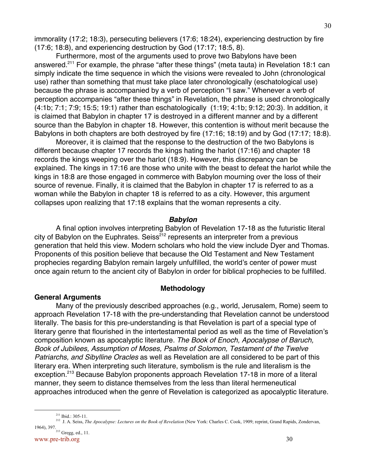Furthermore, most of the arguments used to prove two Babylons have been answered.<sup>211</sup> For example, the phrase "after these things" (meta tauta) in Revelation 18:1 can simply indicate the time sequence in which the visions were revealed to John (chronological use) rather than something that must take place later chronologically (eschatological use) because the phrase is accompanied by a verb of perception "I saw." Whenever a verb of perception accompanies "after these things" in Revelation, the phrase is used chronologically (4:1b; 7:1; 7:9; 15:5; 19:1) rather than eschatologically (1:19; 4:1b; 9:12; 20:3). In addition, it is claimed that Babylon in chapter 17 is destroyed in a different manner and by a different source than the Babylon in chapter 18. However, this contention is without merit because the Babylons in both chapters are both destroyed by fire (17:16; 18:19) and by God (17:17; 18:8).

Moreover, it is claimed that the response to the destruction of the two Babylons is different because chapter 17 records the kings hating the harlot (17:16) and chapter 18 records the kings weeping over the harlot (18:9). However, this discrepancy can be explained. The kings in 17:16 are those who unite with the beast to defeat the harlot while the kings in 18:8 are those engaged in commerce with Babylon mourning over the loss of their source of revenue. Finally, it is claimed that the Babylon in chapter 17 is referred to as a woman while the Babylon in chapter 18 is referred to as a city. However, this argument collapses upon realizing that 17:18 explains that the woman represents a city.

## **Babylon**

A final option involves interpreting Babylon of Revelation 17-18 as the futuristic literal city of Babylon on the Euphrates. Seiss<sup>212</sup> represents an interpreter from a previous generation that held this view. Modern scholars who hold the view include Dyer and Thomas. Proponents of this position believe that because the Old Testament and New Testament prophecies regarding Babylon remain largely unfulfilled, the world's center of power must once again return to the ancient city of Babylon in order for biblical prophecies to be fulfilled.

## **General Arguments**

## **Methodology**

Many of the previously described approaches (e.g., world, Jerusalem, Rome) seem to approach Revelation 17-18 with the pre-understanding that Revelation cannot be understood literally. The basis for this pre-understanding is that Revelation is part of a special type of literary genre that flourished in the intertestamental period as well as the time of Revelation's composition known as apocalyptic literature. The Book of Enoch, Apocalypse of Baruch, Book of Jubilees, Assumption of Moses, Psalms of Solomon, Testament of the Twelve Patriarchs, and Sibylline Oracles as well as Revelation are all considered to be part of this literary era. When interpreting such literature, symbolism is the rule and literalism is the exception.<sup>213</sup> Because Babylon proponents approach Revelation 17-18 in more of a literal manner, they seem to distance themselves from the less than literal hermeneutical approaches introduced when the genre of Revelation is categorized as apocalyptic literature.

<sup>211&</sup>lt;br>211  $211$  Ibid.: 305-11.

<sup>212</sup> J. A. Seiss, *The Apocalypse: Lectures on the Book of Revelation* (New York: Charles C. Cook, 1909; reprint, Grand Rapids, Zondervan, 1964), 397.

www.pre-trib.org 30 <sup>213</sup> Gregg, ed., 11.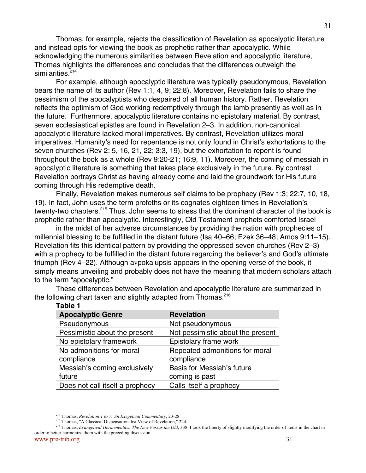Thomas, for example, rejects the classification of Revelation as apocalyptic literature and instead opts for viewing the book as prophetic rather than apocalyptic. While acknowledging the numerous similarities between Revelation and apocalyptic literature, Thomas highlights the differences and concludes that the differences outweigh the similarities.<sup>214</sup>

For example, although apocalyptic literature was typically pseudonymous, Revelation bears the name of its author (Rev 1:1, 4, 9; 22:8). Moreover, Revelation fails to share the pessimism of the apocalyptists who despaired of all human history. Rather, Revelation reflects the optimism of God working redemptively through the lamb presently as well as in the future. Furthermore, apocalyptic literature contains no epistolary material. By contrast, seven ecclesiastical epistles are found in Revelation 2–3. In addition, non-canonical apocalyptic literature lacked moral imperatives. By contrast, Revelation utilizes moral imperatives. Humanity's need for repentance is not only found in Christ's exhortations to the seven churches (Rev 2: 5, 16, 21, 22; 3:3, 19), but the exhortation to repent is found throughout the book as a whole (Rev 9:20-21; 16:9, 11). Moreover, the coming of messiah in apocalyptic literature is something that takes place exclusively in the future. By contrast Revelation portrays Christ as having already come and laid the groundwork for His future coming through His redemptive death.

Finally, Revelation makes numerous self claims to be prophecy (Rev 1:3; 22:7, 10, 18, 19). In fact, John uses the term profeths or its cognates eighteen times in Revelation's twenty-two chapters.<sup>215</sup> Thus, John seems to stress that the dominant character of the book is prophetic rather than apocalyptic. Interestingly, Old Testament prophets comforted Israel

in the midst of her adverse circumstances by providing the nation with prophecies of millennial blessing to be fulfilled in the distant future (Isa 40–66; Ezek 36–48; Amos 9:11–15). Revelation fits this identical pattern by providing the oppressed seven churches (Rev 2–3) with a prophecy to be fulfilled in the distant future regarding the believer's and God's ultimate triumph (Rev 4–22). Although avpokalupsis appears in the opening verse of the book, it simply means unveiling and probably does not have the meaning that modern scholars attach to the term "apocalyptic."

| <u>UNIC</u> I                   |                                   |
|---------------------------------|-----------------------------------|
| <b>Apocalyptic Genre</b>        | <b>Revelation</b>                 |
| Pseudonymous                    | Not pseudonymous                  |
| Pessimistic about the present   | Not pessimistic about the present |
| No epistolary framework         | Epistolary frame work             |
| No admonitions for moral        | Repeated admonitions for moral    |
| compliance                      | compliance                        |
| Messiah's coming exclusively    | Basis for Messiah's future        |
| future                          | coming is past                    |
| Does not call itself a prophecy | Calls itself a prophecy           |

These differences between Revelation and apocalyptic literature are summarized in the following chart taken and slightly adapted from Thomas.<sup>216</sup>

**Table 1**

<sup>214&</sup>lt;br>214 <sup>214</sup> Thomas, *Revelation 1 to 7: An Exegetical Commentary*, 23-28.

<sup>&</sup>lt;sup>215</sup> Thomas, "A Classical Dispensationalist View of Revelation," 224.

<sup>&</sup>lt;sup>216</sup> Thomas, *Evangelical Hermeneutics: The New Versus the Old*, 338. I took the liberty of slightly modifying the order of items in the chart in order to better harmonize them with the preceding discussion.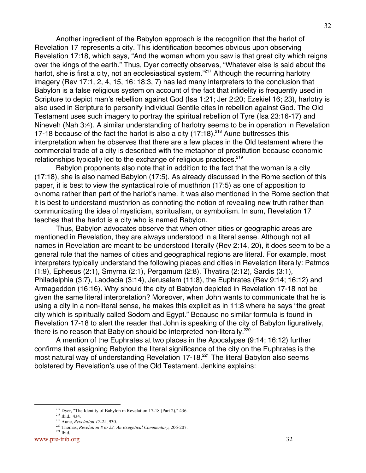Another ingredient of the Babylon approach is the recognition that the harlot of Revelation 17 represents a city. This identification becomes obvious upon observing Revelation 17:18, which says, "And the woman whom you saw is that great city which reigns over the kings of the earth." Thus, Dyer correctly observes, "Whatever else is said about the harlot, she is first a city, not an ecclesiastical system."<sup>217</sup> Although the recurring harlotry imagery (Rev 17:1, 2, 4, 15, 16: 18:3, 7) has led many interpreters to the conclusion that Babylon is a false religious system on account of the fact that infidelity is frequently used in Scripture to depict man's rebellion against God (Isa 1:21; Jer 2:20; Ezekiel 16; 23), harlotry is also used in Scripture to personify individual Gentile cites in rebellion against God. The Old Testament uses such imagery to portray the spiritual rebellion of Tyre (Isa 23:16-17) and Nineveh (Nah 3:4). A similar understanding of harlotry seems to be in operation in Revelation 17-18 because of the fact the harlot is also a city  $(17:18)$ <sup>218</sup> Aune buttresses this interpretation when he observes that there are a few places in the Old testament where the commercial trade of a city is described with the metaphor of prostitution because economic relationships typically led to the exchange of religious practices.<sup>219</sup>

Babylon proponents also note that in addition to the fact that the woman is a city (17:18), she is also named Babylon (17:5). As already discussed in the Rome section of this paper, it is best to view the syntactical role of musthrion (17:5) as one of apposition to ovnoma rather than part of the harlot's name. It was also mentioned in the Rome section that it is best to understand musthrion as connoting the notion of revealing new truth rather than communicating the idea of mysticism, spiritualism, or symbolism. In sum, Revelation 17 teaches that the harlot is a city who is named Babylon.

Thus, Babylon advocates observe that when other cities or geographic areas are mentioned in Revelation, they are always understood in a literal sense. Although not all names in Revelation are meant to be understood literally (Rev 2:14, 20), it does seem to be a general rule that the names of cities and geographical regions are literal. For example, most interpreters typically understand the following places and cities in Revelation literally: Patmos (1:9), Ephesus (2:1), Smyrna (2:1), Pergamum (2:8), Thyatira (2:12), Sardis (3:1), Philadelphia (3:7), Laodecia (3:14), Jerusalem (11:8), the Euphrates (Rev 9:14; 16:12) and Armageddon (16:16). Why should the city of Babylon depicted in Revelation 17-18 not be given the same literal interpretation? Moreover, when John wants to communicate that he is using a city in a non-literal sense, he makes this explicit as in 11:8 where he says "the great city which is spiritually called Sodom and Egypt." Because no similar formula is found in Revelation 17-18 to alert the reader that John is speaking of the city of Babylon figuratively, there is no reason that Babylon should be interpreted non-literally.<sup>220</sup>

A mention of the Euphrates at two places in the Apocalypse (9:14; 16:12) further confirms that assigning Babylon the literal significance of the city on the Euphrates is the most natural way of understanding Revelation 17-18.<sup>221</sup> The literal Babylon also seems bolstered by Revelation's use of the Old Testament. Jenkins explains:

<sup>217&</sup>lt;br>217 <sup>217</sup> Dyer, "The Identity of Babylon in Revelation 17-18 (Part 2)," 436.

 $218$  Ibid.: 434.

<sup>219</sup> Aune, *Revelation 17-22*, 930.

<sup>220</sup> Thomas, *Revelation 8 to 22: An Exegetical Commentary*, 206-207.

www.pre-trib.org 32  $221$  Ibid.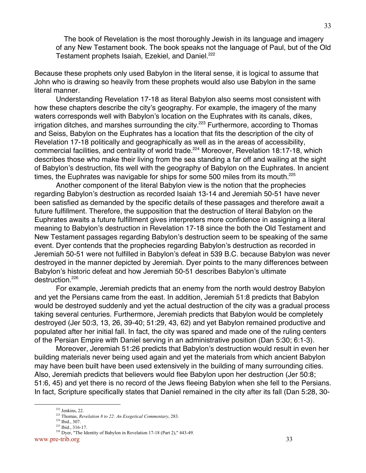The book of Revelation is the most thoroughly Jewish in its language and imagery of any New Testament book. The book speaks not the language of Paul, but of the Old Testament prophets Isaiah, Ezekiel, and Daniel.<sup>222</sup>

Because these prophets only used Babylon in the literal sense, it is logical to assume that John who is drawing so heavily from these prophets would also use Babylon in the same literal manner.

Understanding Revelation 17-18 as literal Babylon also seems most consistent with how these chapters describe the city's geography. For example, the imagery of the many waters corresponds well with Babylon's location on the Euphrates with its canals, dikes, irrigation ditches, and marshes surrounding the city.<sup>223</sup> Furthermore, according to Thomas and Seiss, Babylon on the Euphrates has a location that fits the description of the city of Revelation 17-18 politically and geographically as well as in the areas of accessibility, commercial facilities, and centrality of world trade.<sup>224</sup> Moreover, Revelation 18:17-18, which describes those who make their living from the sea standing a far off and wailing at the sight of Babylon's destruction, fits well with the geography of Babylon on the Euphrates. In ancient times, the Euphrates was navigable for ships for some 500 miles from its mouth.<sup>225</sup>

Another component of the literal Babylon view is the notion that the prophecies regarding Babylon's destruction as recorded Isaiah 13-14 and Jeremiah 50-51 have never been satisfied as demanded by the specific details of these passages and therefore await a future fulfillment. Therefore, the supposition that the destruction of literal Babylon on the Euphrates awaits a future fulfillment gives interpreters more confidence in assigning a literal meaning to Babylon's destruction in Revelation 17-18 since the both the Old Testament and New Testament passages regarding Babylon's destruction seem to be speaking of the same event. Dyer contends that the prophecies regarding Babylon's destruction as recorded in Jeremiah 50-51 were not fulfilled in Babylon's defeat in 539 B.C. because Babylon was never destroyed in the manner depicted by Jeremiah. Dyer points to the many differences between Babylon's historic defeat and how Jeremiah 50-51 describes Babylon's ultimate destruction.<sup>226</sup>

For example, Jeremiah predicts that an enemy from the north would destroy Babylon and yet the Persians came from the east. In addition, Jeremiah 51:8 predicts that Babylon would be destroyed suddenly and yet the actual destruction of the city was a gradual process taking several centuries. Furthermore, Jeremiah predicts that Babylon would be completely destroyed (Jer 50:3, 13, 26, 39-40; 51:29, 43, 62) and yet Babylon remained productive and populated after her initial fall. In fact, the city was spared and made one of the ruling centers of the Persian Empire with Daniel serving in an administrative position (Dan 5:30; 6:1-3).

Moreover, Jeremiah 51:26 predicts that Babylon's destruction would result in even her building materials never being used again and yet the materials from which ancient Babylon may have been built have been used extensively in the building of many surrounding cities. Also, Jeremiah predicts that believers would flee Babylon upon her destruction (Jer 50:8; 51:6, 45) and yet there is no record of the Jews fleeing Babylon when she fell to the Persians. In fact, Scripture specifically states that Daniel remained in the city after its fall (Dan 5:28, 30-

<sup>222&</sup>lt;br>222<br>222  $222$  Jenkins, 22.

<sup>223</sup> Thomas, *Revelation 8 to 22: An Exegetical Commentary*, 283.

 $224$  Ibid., 307.

 $225$  Ibid., 316-17.

<sup>&</sup>lt;sup>226</sup> Dyer, "The Identity of Babylon in Revelation 17-18 (Part 2)," 443-49.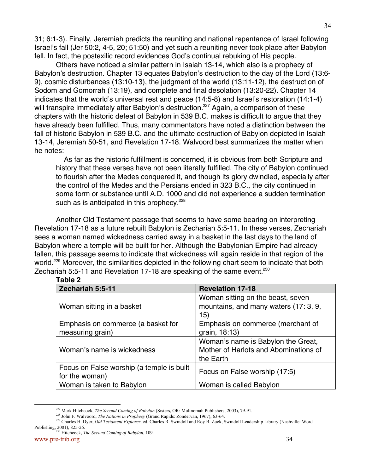31; 6:1-3). Finally, Jeremiah predicts the reuniting and national repentance of Israel following Israel's fall (Jer 50:2, 4-5, 20; 51:50) and yet such a reuniting never took place after Babylon fell. In fact, the postexilic record evidences God's continual rebuking of His people.

Others have noticed a similar pattern in Isaiah 13-14, which also is a prophecy of Babylon's destruction. Chapter 13 equates Babylon's destruction to the day of the Lord (13:6- 9), cosmic disturbances (13:10-13), the judgment of the world (13:11-12), the destruction of Sodom and Gomorrah (13:19), and complete and final desolation (13:20-22). Chapter 14 indicates that the world's universal rest and peace (14:5-8) and Israel's restoration (14:1-4) will transpire immediately after Babylon's destruction.<sup>227</sup> Again, a comparison of these chapters with the historic defeat of Babylon in 539 B.C. makes is difficult to argue that they have already been fulfilled. Thus, many commentators have noted a distinction between the fall of historic Babylon in 539 B.C. and the ultimate destruction of Babylon depicted in Isaiah 13-14, Jeremiah 50-51, and Revelation 17-18. Walvoord best summarizes the matter when he notes:

 As far as the historic fulfillment is concerned, it is obvious from both Scripture and history that these verses have not been literally fulfilled. The city of Babylon continued to flourish after the Medes conquered it, and though its glory dwindled, especially after the control of the Medes and the Persians ended in 323 B.C., the city continued in some form or substance until A.D. 1000 and did not experience a sudden termination such as is anticipated in this prophecy. $228$ 

Another Old Testament passage that seems to have some bearing on interpreting Revelation 17-18 as a future rebuilt Babylon is Zechariah 5:5-11. In these verses, Zechariah sees a woman named wickedness carried away in a basket in the last days to the land of Babylon where a temple will be built for her. Although the Babylonian Empire had already fallen, this passage seems to indicate that wickedness will again reside in that region of the world.<sup>229</sup> Moreover, the similarities depicted in the following chart seem to indicate that both Zechariah 5:5-11 and Revelation 17-18 are speaking of the same event.<sup>230</sup>

## **Table 2**

| Zechariah 5:5-11                                            | <b>Revelation 17-18</b>                                                                  |
|-------------------------------------------------------------|------------------------------------------------------------------------------------------|
| Woman sitting in a basket                                   | Woman sitting on the beast, seven<br>mountains, and many waters (17: 3, 9,<br>15)        |
| Emphasis on commerce (a basket for<br>measuring grain)      | Emphasis on commerce (merchant of<br>grain, 18:13)                                       |
| Woman's name is wickedness                                  | Woman's name is Babylon the Great,<br>Mother of Harlots and Abominations of<br>the Earth |
| Focus on False worship (a temple is built<br>for the woman) | Focus on False worship (17:5)                                                            |
| Woman is taken to Babylon                                   | Woman is called Babylon                                                                  |

<sup>227&</sup>lt;br>227 <sup>227</sup> Mark Hitchcock, *The Second Coming of Babylon* (Sisters, OR: Multnomah Publishers, 2003), 79-91.

<sup>228</sup> John F. Walvoord, *The Nations in Prophecy* (Grand Rapids: Zondervan, 1967), 63-64.

<sup>229</sup> Charles H. Dyer, *Old Testament Explorer*, ed. Charles R. Swindoll and Roy B. Zuck, Swindoll Leadership Library (Nashville: Word Publishing, 2001), 825-26.

www.pre-trib.org 34 230 Hitchcock, *The Second Coming of Babylon*, 109.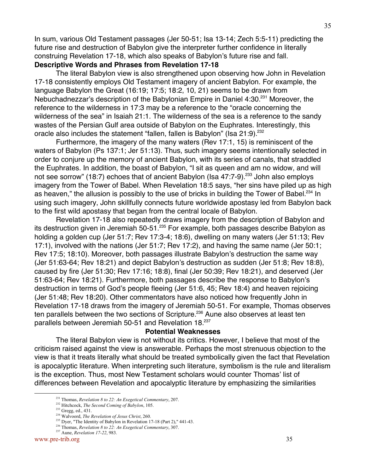In sum, various Old Testament passages (Jer 50-51; Isa 13-14; Zech 5:5-11) predicting the future rise and destruction of Babylon give the interpreter further confidence in literally construing Revelation 17-18, which also speaks of Babylon's future rise and fall.

# **Descriptive Words and Phrases from Revelation 17-18**

The literal Babylon view is also strengthened upon observing how John in Revelation 17-18 consistently employs Old Testament imagery of ancient Babylon. For example, the language Babylon the Great (16:19; 17:5; 18:2, 10, 21) seems to be drawn from Nebuchadnezzar's description of the Babylonian Empire in Daniel 4:30.<sup>231</sup> Moreover, the reference to the wilderness in 17:3 may be a reference to the "oracle concerning the wilderness of the sea" in Isaiah 21:1. The wilderness of the sea is a reference to the sandy wastes of the Persian Gulf area outside of Babylon on the Euphrates. Interestingly, this oracle also includes the statement "fallen, fallen is Babylon" (Isa 21:9).  $232$ 

Furthermore, the imagery of the many waters (Rev 17:1, 15) is reminiscent of the waters of Babylon (Ps 137:1; Jer 51:13). Thus, such imagery seems intentionally selected in order to conjure up the memory of ancient Babylon, with its series of canals, that straddled the Euphrates. In addition, the boast of Babylon, "I sit as queen and am no widow, and will not see sorrow" (18:7) echoes that of ancient Babylon (Isa 47:7-9).<sup>233</sup> John also employs imagery from the Tower of Babel. When Revelation 18:5 says, "her sins have piled up as high as heaven," the allusion is possibly to the use of bricks in building the Tower of Babel.<sup>234</sup> In using such imagery, John skillfully connects future worldwide apostasy led from Babylon back to the first wild apostasy that began from the central locale of Babylon.

Revelation 17-18 also repeatedly draws imagery from the description of Babylon and its destruction given in Jeremiah 50-51.<sup>235</sup> For example, both passages describe Babylon as holding a golden cup (Jer 51:7; Rev 17:3-4; 18:6), dwelling on many waters (Jer 51:13; Rev 17:1), involved with the nations (Jer 51:7; Rev 17:2), and having the same name (Jer 50:1; Rev 17:5; 18:10). Moreover, both passages illustrate Babylon's destruction the same way (Jer 51:63-64; Rev 18:21) and depict Babylon's destruction as sudden (Jer 51:8; Rev 18:8), caused by fire (Jer 51:30; Rev 17:16; 18:8), final (Jer 50:39; Rev 18:21), and deserved (Jer 51:63-64; Rev 18:21). Furthermore, both passages describe the response to Babylon's destruction in terms of God's people fleeing (Jer 51:6, 45; Rev 18:4) and heaven rejoicing (Jer 51:48; Rev 18:20). Other commentators have also noticed how frequently John in Revelation 17-18 draws from the imagery of Jeremiah 50-51. For example, Thomas observes ten parallels between the two sections of Scripture.<sup>236</sup> Aune also observes at least ten parallels between Jeremiah 50-51 and Revelation 18.<sup>237</sup>

## **Potential Weaknesses**

The literal Babylon view is not without its critics. However, I believe that most of the criticism raised against the view is answerable. Perhaps the most strenuous objection to the view is that it treats literally what should be treated symbolically given the fact that Revelation is apocalyptic literature. When interpreting such literature, symbolism is the rule and literalism is the exception. Thus, most New Testament scholars would counter Thomas' list of differences between Revelation and apocalyptic literature by emphasizing the similarities

<sup>231</sup> Thomas, *Revelation 8 to 22: An Exegetical Commentary*, 207.

<sup>232</sup> Hitchcock, *The Second Coming of Babylon*, 105.

<sup>&</sup>lt;sup>233</sup> Gregg, ed., 431.

<sup>234</sup> Walvoord, *The Revelation of Jesus Christ*, 260.

<sup>&</sup>lt;sup>235</sup> Dyer, "The Identity of Babylon in Revelation 17-18 (Part 2)," 441-43.

<sup>236</sup> Thomas, *Revelation 8 to 22: An Exegetical Commentary*, 307.

<sup>237</sup> Aune, *Revelation 17-22*, 983.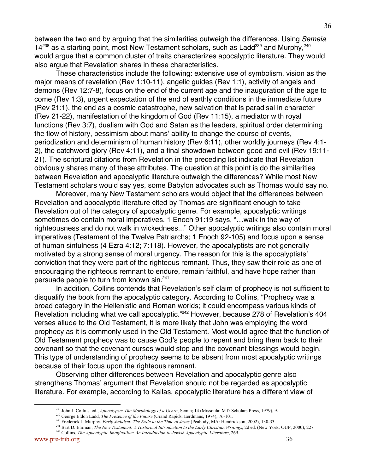between the two and by arguing that the similarities outweigh the differences. Using Semeia  $14^{238}$  as a starting point, most New Testament scholars, such as Ladd<sup>239</sup> and Murphy,  $240$ would argue that a common cluster of traits characterizes apocalyptic literature. They would also argue that Revelation shares in these characteristics.

These characteristics include the following: extensive use of symbolism, vision as the major means of revelation (Rev 1:10-11), angelic guides (Rev 1:1), activity of angels and demons (Rev 12:7-8), focus on the end of the current age and the inauguration of the age to come (Rev 1:3), urgent expectation of the end of earthly conditions in the immediate future (Rev 21:1), the end as a cosmic catastrophe, new salvation that is paradisal in character (Rev 21-22), manifestation of the kingdom of God (Rev 11:15), a mediator with royal functions (Rev 3:7), dualism with God and Satan as the leaders, spiritual order determining the flow of history, pessimism about mans' ability to change the course of events, periodization and determinism of human history (Rev 6:11), other worldly journeys (Rev 4:1- 2), the catchword glory (Rev 4:11), and a final showdown between good and evil (Rev 19:11- 21). The scriptural citations from Revelation in the preceding list indicate that Revelation obviously shares many of these attributes. The question at this point is do the similarities between Revelation and apocalyptic literature outweigh the differences? While most New Testament scholars would say yes, some Babylon advocates such as Thomas would say no.

Moreover, many New Testament scholars would object that the differences between Revelation and apocalyptic literature cited by Thomas are significant enough to take Revelation out of the category of apocalyptic genre. For example, apocalyptic writings sometimes do contain moral imperatives. 1 Enoch 91:19 says, "…walk in the way of righteousness and do not walk in wickedness..." Other apocalyptic writings also contain moral imperatives (Testament of the Twelve Patriarchs; 1 Enoch 92-105) and focus upon a sense of human sinfulness (4 Ezra 4:12; 7:118). However, the apocalyptists are not generally motivated by a strong sense of moral urgency. The reason for this is the apocalyptists' conviction that they were part of the righteous remnant. Thus, they saw their role as one of encouraging the righteous remnant to endure, remain faithful, and have hope rather than persuade people to turn from known sin.241

In addition, Collins contends that Revelation's self claim of prophecy is not sufficient to disqualify the book from the apocalyptic category. According to Collins, "Prophecy was a broad category in the Hellenistic and Roman worlds; it could encompass various kinds of Revelation including what we call apocalyptic."<sup>242</sup> However, because 278 of Revelation's 404 verses allude to the Old Testament, it is more likely that John was employing the word prophecy as it is commonly used in the Old Testament. Most would agree that the function of Old Testament prophecy was to cause God's people to repent and bring them back to their covenant so that the covenant curses would stop and the covenant blessings would begin. This type of understanding of prophecy seems to be absent from most apocalyptic writings because of their focus upon the righteous remnant.

Observing other differences between Revelation and apocalyptic genre also strengthens Thomas' argument that Revelation should not be regarded as apocalyptic literature. For example, according to Kallas, apocalyptic literature has a different view of

<sup>238&</sup>lt;br>238 <sup>238</sup> John J. Collins, ed., *Apocalypse: The Morphology of a Genre*, Semia; 14 (Missoula: MT: Scholars Press, 1979), 9.

<sup>&</sup>lt;sup>239</sup> George Eldon Ladd, *The Presence of the Future* (Grand Rapids: Eerdmans, 1974), 76-101.

<sup>240</sup> Frederick J. Murphy, *Early Judaism: The Exile to the Time of Jesus* (Peabody, MA: Hendrickson, 2002), 130-33.

<sup>&</sup>lt;sup>241</sup> Bart D. Ehrman, *The New Testament: A Historical Introduction to the Early Christian Writings*, 2d ed. (New York: OUP, 2000), 227.

<sup>&</sup>lt;sup>242</sup> Collins, *The Apocalyptic Imagination: An Introduction to Jewish Apocalyptic Literature*, 269.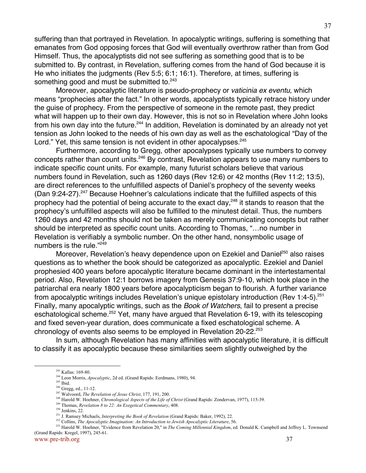suffering than that portrayed in Revelation. In apocalyptic writings, suffering is something that emanates from God opposing forces that God will eventually overthrow rather than from God Himself. Thus, the apocalyptists did not see suffering as something good that is to be submitted to. By contrast, in Revelation, suffering comes from the hand of God because it is He who initiates the judgments (Rev 5:5; 6:1; 16:1). Therefore, at times, suffering is something good and must be submitted to.<sup>243</sup>

Moreover, apocalyptic literature is pseudo-prophecy or vaticinia ex eventu, which means "prophecies after the fact." In other words, apocalyptists typically retrace history under the guise of prophecy. From the perspective of someone in the remote past, they predict what will happen up to their own day. However, this is not so in Revelation where John looks from his own day into the future.<sup>244</sup> In addition, Revelation is dominated by an already not yet tension as John looked to the needs of his own day as well as the eschatological "Day of the Lord." Yet, this same tension is not evident in other apocalypses.<sup>245</sup>

Furthermore, according to Gregg, other apocalypses typically use numbers to convey concepts rather than count units.<sup>246</sup> By contrast, Revelation appears to use many numbers to indicate specific count units. For example, many futurist scholars believe that various numbers found in Revelation, such as 1260 days (Rev 12:6) or 42 months (Rev 11:2; 13:5), are direct references to the unfulfilled aspects of Daniel's prophecy of the seventy weeks (Dan 9:24-27).<sup>247</sup> Because Hoehner's calculations indicate that the fulfilled aspects of this prophecy had the potential of being accurate to the exact day,<sup>248</sup> it stands to reason that the prophecy's unfulfilled aspects will also be fulfilled to the minutest detail. Thus, the numbers 1260 days and 42 months should not be taken as merely communicating concepts but rather should be interpreted as specific count units. According to Thomas, "…no number in Revelation is verifiably a symbolic number. On the other hand, nonsymbolic usage of numbers is the rule."249

Moreover, Revelation's heavy dependence upon on Ezekiel and Daniel<sup>250</sup> also raises questions as to whether the book should be categorized as apocalyptic. Ezekiel and Daniel prophesied 400 years before apocalyptic literature became dominant in the intertestamental period. Also, Revelation 12:1 borrows imagery from Genesis 37:9-10, which took place in the patriarchal era nearly 1800 years before apocalypticism began to flourish. A further variance from apocalyptic writings includes Revelation's unique epistolary introduction (Rev 1:4-5).<sup>251</sup> Finally, many apocalyptic writings, such as the Book of Watchers, fail to present a precise eschatological scheme.<sup>252</sup> Yet, many have argued that Revelation 6-19, with its telescoping and fixed seven-year duration, does communicate a fixed eschatological scheme. A chronology of events also seems to be employed in Revelation 20-22.<sup>253</sup>

In sum, although Revelation has many affinities with apocalyptic literature, it is difficult to classify it as apocalyptic because these similarities seem slightly outweighed by the

<sup>&</sup>lt;u>243</u> <sup>243</sup> Kallas: 169-80.

<sup>244</sup> Leon Morris, *Apocalyptic*, 2d ed. (Grand Rapids: Eerdmans, 1980), 94.

<sup>245</sup> Ibid.

 $246$  Gregg, ed., 11-12.

<sup>247</sup> Walvoord, *The Revelation of Jesus Christ*, 177, 191, 200.

<sup>248</sup> Harold W. Hoehner, *Chronological Aspects of the Life of Christ* (Grand Rapids: Zondervan, 1977), 115-39.

<sup>249</sup> Thomas, *Revelation 8 to 22: An Exegetical Commentary*, 408.

 $250$  Jenkins, 22.

<sup>251</sup> J. Ramsey Michaels, *Interpreting the Book of Revelation* (Grand Rapids: Baker, 1992), 22.

<sup>&</sup>lt;sup>252</sup> Collins, *The Apocalyptic Imagination: An Introduction to Jewish Apocalyptic Literature*, 56.

<sup>253</sup> Harold W. Hoehner, "Evidence from Revelation 20," in *The Coming Millennial Kingdom*, ed. Donald K. Campbell and Jeffrey L. Townsend (Grand Rapids: Kregel, 1997), 245-61.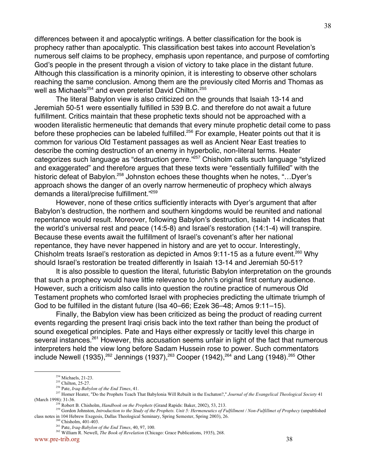differences between it and apocalyptic writings. A better classification for the book is prophecy rather than apocalyptic. This classification best takes into account Revelation's numerous self claims to be prophecy, emphasis upon repentance, and purpose of comforting God's people in the present through a vision of victory to take place in the distant future. Although this classification is a minority opinion, it is interesting to observe other scholars reaching the same conclusion. Among them are the previously cited Morris and Thomas as well as Michaels<sup>254</sup> and even preterist David Chilton.<sup>255</sup>

The literal Babylon view is also criticized on the grounds that Isaiah 13-14 and Jeremiah 50-51 were essentially fulfilled in 539 B.C. and therefore do not await a future fulfillment. Critics maintain that these prophetic texts should not be approached with a wooden literalistic hermeneutic that demands that every minute prophetic detail come to pass before these prophecies can be labeled fulfilled.<sup>256</sup> For example, Heater points out that it is common for various Old Testament passages as well as Ancient Near East treaties to describe the coming destruction of an enemy in hyperbolic, non-literal terms. Heater categorizes such language as "destruction genre."<sup>257</sup> Chisholm calls such language "stylized and exaggerated" and therefore argues that these texts were "essentially fulfilled" with the historic defeat of Babylon.<sup>258</sup> Johnston echoes these thoughts when he notes, "...Dyer's approach shows the danger of an overly narrow hermeneutic of prophecy which always demands a literal/precise fulfillment."<sup>259</sup>

However, none of these critics sufficiently interacts with Dyer's argument that after Babylon's destruction, the northern and southern kingdoms would be reunited and national repentance would result. Moreover, following Babylon's destruction, Isaiah 14 indicates that the world's universal rest and peace (14:5-8) and Israel's restoration (14:1-4) will transpire. Because these events await the fulfillment of Israel's covenant's after her national repentance, they have never happened in history and are yet to occur. Interestingly, Chisholm treats Israel's restoration as depicted in Amos  $9:11-15$  as a future event.<sup>260</sup> Why should Israel's restoration be treated differently in Isaiah 13-14 and Jeremiah 50-51?

It is also possible to question the literal, futuristic Babylon interpretation on the grounds that such a prophecy would have little relevance to John's original first century audience. However, such a criticism also calls into question the routine practice of numerous Old Testament prophets who comforted Israel with prophecies predicting the ultimate triumph of God to be fulfilled in the distant future (Isa 40–66; Ezek 36–48; Amos 9:11–15).

Finally, the Babylon view has been criticized as being the product of reading current events regarding the present Iraqi crisis back into the text rather than being the product of sound exegetical principles. Pate and Hays either expressly or tacitly level this charge in several instances.<sup>261</sup> However, this accusation seems unfair in light of the fact that numerous interpreters held the view long before Sadam Hussein rose to power. Such commentators include Newell (1935), $^{262}$  Jennings (1937), $^{263}$  Cooper (1942), $^{264}$  and Lang (1948). $^{265}$  Other

<sup>254&</sup>lt;br>254 <sup>254</sup> Michaels, 21-23.

<sup>&</sup>lt;sup>255</sup> Chilton, 25-27.

<sup>256</sup> Pate, *Iraq-Babylon of the End Times*, 41.

<sup>&</sup>lt;sup>257</sup> Homer Heater, "Do the Prophets Teach That Babylonia Will Rebuilt in the Eschaton?," *Journal of the Evangelical Theological Society* 41 (March 1998): 31-36.<br><sup>258</sup> B obort

Robert B. Chisholm, *Handbook on the Prophets* (Grand Rapids: Baker, 2002), 53, 213.

<sup>259</sup> Gordon Johnston, *Introduction to the Study of the Prophets. Unit 5: Hermeneutics of Fulfillment / Non-Fulfillmet of Prophecy* (unpublished class notes in 104 Hebrew Exegesis, Dallas Theological Seminary, Spring Semester, Spring 2003), 26.

<sup>&</sup>lt;sup>260</sup> Chisholm, 401-403.

<sup>261</sup> Pate, *Iraq-Babylon of the End Times*, 40, 97, 100.

<sup>262</sup> William R. Newell, *The Book of Revelation* (Chicago: Grace Publications, 1935), 268.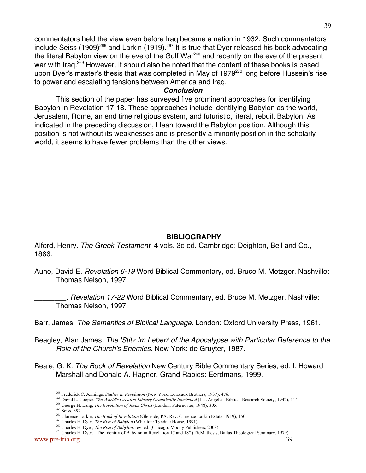commentators held the view even before Iraq became a nation in 1932. Such commentators include Seiss (1909)<sup>266</sup> and Larkin (1919).<sup>267</sup> It is true that Dyer released his book advocating the literal Babylon view on the eve of the Gulf War<sup>268</sup> and recently on the eve of the present war with Iraq.<sup>269</sup> However, it should also be noted that the content of these books is based upon Dyer's master's thesis that was completed in May of 1979<sup>270</sup> long before Hussein's rise to power and escalating tensions between America and Iraq.

## **Conclusion**

This section of the paper has surveyed five prominent approaches for identifying Babylon in Revelation 17-18. These approaches include identifying Babylon as the world, Jerusalem, Rome, an end time religious system, and futuristic, literal, rebuilt Babylon. As indicated in the preceding discussion, I lean toward the Babylon position. Although this position is not without its weaknesses and is presently a minority position in the scholarly world, it seems to have fewer problems than the other views.

## **BIBLIOGRAPHY**

Alford, Henry. The Greek Testament. 4 vols. 3d ed. Cambridge: Deighton, Bell and Co., 1866.

- Aune, David E. Revelation 6-19 Word Biblical Commentary, ed. Bruce M. Metzger. Nashville: Thomas Nelson, 1997.
	- . Revelation 17-22 Word Biblical Commentary, ed. Bruce M. Metzger. Nashville: Thomas Nelson, 1997.
- Barr, James. The Semantics of Biblical Language. London: Oxford University Press, 1961.
- Beagley, Alan James. The 'Stitz Im Leben' of the Apocalypse with Particular Reference to the Role of the Church's Enemies. New York: de Gruyter, 1987.
- Beale, G. K. The Book of Revelation New Century Bible Commentary Series, ed. I. Howard Marshall and Donald A. Hagner. Grand Rapids: Eerdmans, 1999.

<sup>&</sup>lt;u>263</u> Frederick C. Jennings, *Studies in Revelation* (New York: Loizeaux Brothers, 1937), 476.

<sup>264</sup> David L. Cooper, *The World's Greatest Library Graphically Illustrated* (Los Angeles: Biblical Research Society, 1942), 114.

<sup>265</sup> George H. Lang, *The Revelation of Jesus Christ* (London: Paternoster, 1948), 305.

<sup>266</sup> Seiss, 397.

<sup>267</sup> Clarence Larkin, *The Book of Revelation* (Glenside, PA: Rev. Clarence Larkin Estate, 1919), 150.

<sup>268</sup> Charles H. Dyer, *The Rise of Babylon* (Wheaton: Tyndale House, 1991).

<sup>269</sup> Charles H. Dyer, *The Rise of Babylon*, rev. ed. (Chicago: Moody Publishers, 2003).

<sup>&</sup>lt;sup>270</sup> Charles H. Dyer, "The Identity of Babylon in Revelation 17 and 18" (Th.M. thesis, Dallas Theological Seminary, 1979).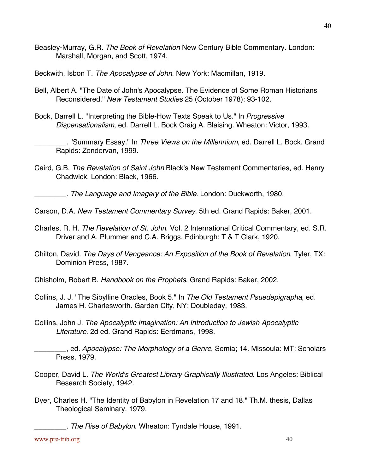Beasley-Murray, G.R. The Book of Revelation New Century Bible Commentary. London: Marshall, Morgan, and Scott, 1974.

Beckwith, Isbon T. The Apocalypse of John. New York: Macmillan, 1919.

- Bell, Albert A. "The Date of John's Apocalypse. The Evidence of Some Roman Historians Reconsidered." New Testament Studies 25 (October 1978): 93-102.
- Bock, Darrell L. "Interpreting the Bible-How Texts Speak to Us." In Progressive Dispensationalism, ed. Darrell L. Bock Craig A. Blaising. Wheaton: Victor, 1993.

. "Summary Essay." In Three Views on the Millennium, ed. Darrell L. Bock. Grand Rapids: Zondervan, 1999.

Caird, G.B. The Revelation of Saint John Black's New Testament Commentaries, ed. Henry Chadwick. London: Black, 1966.

The Language and Imagery of the Bible. London: Duckworth, 1980.

- Carson, D.A. New Testament Commentary Survey. 5th ed. Grand Rapids: Baker, 2001.
- Charles, R. H. The Revelation of St. John. Vol. 2 International Critical Commentary, ed. S.R. Driver and A. Plummer and C.A. Briggs. Edinburgh: T & T Clark, 1920.
- Chilton, David. The Days of Vengeance: An Exposition of the Book of Revelation. Tyler, TX: Dominion Press, 1987.
- Chisholm, Robert B. Handbook on the Prophets. Grand Rapids: Baker, 2002.
- Collins, J. J. "The Sibylline Oracles, Book 5." In The Old Testament Psuedepigrapha, ed. James H. Charlesworth. Garden City, NY: Doubleday, 1983.
- Collins, John J. The Apocalyptic Imagination: An Introduction to Jewish Apocalyptic Literature. 2d ed. Grand Rapids: Eerdmans, 1998.

d. Apocalypse: The Morphology of a Genre, Semia; 14. Missoula: MT: Scholars Press, 1979.

- Cooper, David L. The World's Greatest Library Graphically Illustrated. Los Angeles: Biblical Research Society, 1942.
- Dyer, Charles H. "The Identity of Babylon in Revelation 17 and 18." Th.M. thesis, Dallas Theological Seminary, 1979.

\_\_\_\_\_\_\_\_. The Rise of Babylon. Wheaton: Tyndale House, 1991.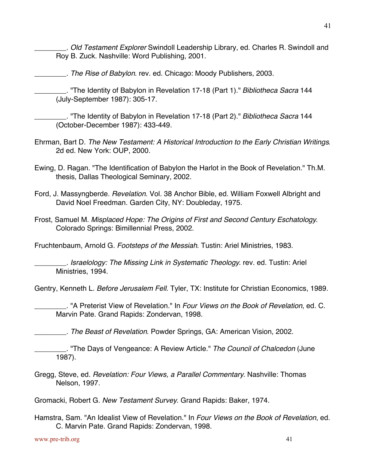\_\_\_\_\_\_\_\_. Old Testament Explorer Swindoll Leadership Library, ed. Charles R. Swindoll and Roy B. Zuck. Nashville: Word Publishing, 2001.

\_\_\_\_\_\_\_\_. The Rise of Babylon. rev. ed. Chicago: Moody Publishers, 2003.

<sup>1</sup> The Identity of Babylon in Revelation 17-18 (Part 1)." Bibliotheca Sacra 144 (July-September 1987): 305-17.

. "The Identity of Babylon in Revelation 17-18 (Part 2)." Bibliotheca Sacra 144 (October-December 1987): 433-449.

- Ehrman, Bart D. The New Testament: A Historical Introduction to the Early Christian Writings. 2d ed. New York: OUP, 2000.
- Ewing, D. Ragan. "The Identification of Babylon the Harlot in the Book of Revelation." Th.M. thesis, Dallas Theological Seminary, 2002.
- Ford, J. Massyngberde. Revelation. Vol. 38 Anchor Bible, ed. William Foxwell Albright and David Noel Freedman. Garden City, NY: Doubleday, 1975.
- Frost, Samuel M. Misplaced Hope: The Origins of First and Second Century Eschatology. Colorado Springs: Bimillennial Press, 2002.

Fruchtenbaum, Arnold G. Footsteps of the Messiah. Tustin: Ariel Ministries, 1983.

\_\_\_\_\_\_\_\_. Israelology: The Missing Link in Systematic Theology. rev. ed. Tustin: Ariel Ministries, 1994.

Gentry, Kenneth L. Before Jerusalem Fell. Tyler, TX: Institute for Christian Economics, 1989.

. "A Preterist View of Revelation." In Four Views on the Book of Revelation, ed. C. Marvin Pate. Grand Rapids: Zondervan, 1998.

\_\_\_\_\_\_\_\_. The Beast of Revelation. Powder Springs, GA: American Vision, 2002.

. "The Days of Vengeance: A Review Article." The Council of Chalcedon (June 1987).

Gregg, Steve, ed. Revelation: Four Views, a Parallel Commentary. Nashville: Thomas Nelson, 1997.

Gromacki, Robert G. New Testament Survey. Grand Rapids: Baker, 1974.

Hamstra, Sam. "An Idealist View of Revelation." In Four Views on the Book of Revelation, ed. C. Marvin Pate. Grand Rapids: Zondervan, 1998.

www.pre-trib.org 41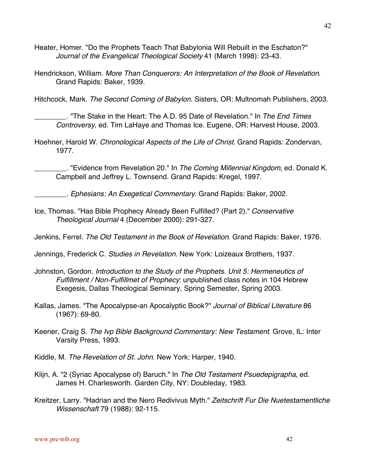- Heater, Homer. "Do the Prophets Teach That Babylonia Will Rebuilt in the Eschaton?" Journal of the Evangelical Theological Society 41 (March 1998): 23-43.
- Hendrickson, William. More Than Conquerors: An Interpretation of the Book of Revelation. Grand Rapids: Baker, 1939.

Hitchcock, Mark. The Second Coming of Babylon. Sisters, OR: Multnomah Publishers, 2003.

. "The Stake in the Heart: The A.D. 95 Date of Revelation." In The End Times Controversy, ed. Tim LaHaye and Thomas Ice. Eugene, OR: Harvest House, 2003.

Hoehner, Harold W. Chronological Aspects of the Life of Christ. Grand Rapids: Zondervan, 1977.

. "Evidence from Revelation 20." In The Coming Millennial Kingdom, ed. Donald K. Campbell and Jeffrey L. Townsend. Grand Rapids: Kregel, 1997.

\_\_\_\_\_\_\_\_. Ephesians: An Exegetical Commentary. Grand Rapids: Baker, 2002.

Ice, Thomas. "Has Bible Prophecy Already Been Fulfilled? (Part 2)." Conservative Theological Journal 4 (December 2000): 291-327.

Jenkins, Ferrel. The Old Testament in the Book of Revelation. Grand Rapids: Baker, 1976.

Jennings, Frederick C. Studies in Revelation. New York: Loizeaux Brothers, 1937.

- Johnston, Gordon. Introduction to the Study of the Prophets. Unit 5: Hermeneutics of Fulfillment / Non-Fulfillmet of Prophecy: unpublished class notes in 104 Hebrew Exegesis, Dallas Theological Seminary, Spring Semester, Spring 2003.
- Kallas, James. "The Apocalypse-an Apocalyptic Book?" Journal of Biblical Literature 86 (1967): 69-80.
- Keener, Craig S. The Ivp Bible Background Commentary: New Testament. Grove, IL: Inter Varsity Press, 1993.
- Kiddle, M. The Revelation of St. John. New York: Harper, 1940.
- Klijn, A. "2 (Syriac Apocalypse of) Baruch." In The Old Testament Psuedepigrapha, ed. James H. Charlesworth. Garden City, NY: Doubleday, 1983.
- Kreitzer, Larry. "Hadrian and the Nero Redivivus Myth." Zeitschrift Fur Die Nuetestamentliche Wissenschaft 79 (1988): 92-115.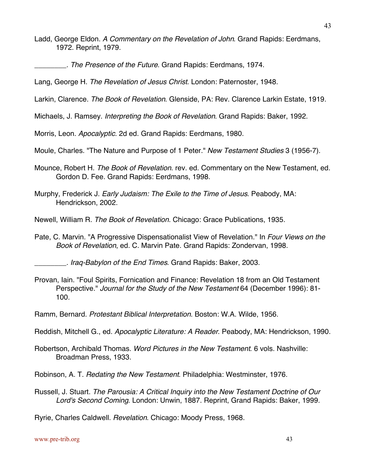- Ladd, George Eldon. A Commentary on the Revelation of John. Grand Rapids: Eerdmans, 1972. Reprint, 1979.
	- \_\_\_\_\_\_\_\_. The Presence of the Future. Grand Rapids: Eerdmans, 1974.

Lang, George H. The Revelation of Jesus Christ. London: Paternoster, 1948.

Larkin, Clarence. The Book of Revelation. Glenside, PA: Rev. Clarence Larkin Estate, 1919.

Michaels, J. Ramsey. Interpreting the Book of Revelation. Grand Rapids: Baker, 1992.

Morris, Leon. Apocalyptic. 2d ed. Grand Rapids: Eerdmans, 1980.

Moule, Charles. "The Nature and Purpose of 1 Peter." New Testament Studies 3 (1956-7).

- Mounce, Robert H. The Book of Revelation. rev. ed. Commentary on the New Testament, ed. Gordon D. Fee. Grand Rapids: Eerdmans, 1998.
- Murphy, Frederick J. Early Judaism: The Exile to the Time of Jesus. Peabody, MA: Hendrickson, 2002.
- Newell, William R. The Book of Revelation. Chicago: Grace Publications, 1935.
- Pate, C. Marvin. "A Progressive Dispensationalist View of Revelation." In Four Views on the Book of Revelation, ed. C. Marvin Pate. Grand Rapids: Zondervan, 1998.

\_\_\_\_\_\_\_\_. Iraq-Babylon of the End Times. Grand Rapids: Baker, 2003.

Provan, Iain. "Foul Spirits, Fornication and Finance: Revelation 18 from an Old Testament Perspective." Journal for the Study of the New Testament 64 (December 1996): 81- 100.

Ramm, Bernard. Protestant Biblical Interpretation. Boston: W.A. Wilde, 1956.

- Reddish, Mitchell G., ed. Apocalyptic Literature: A Reader. Peabody, MA: Hendrickson, 1990.
- Robertson, Archibald Thomas. Word Pictures in the New Testament. 6 vols. Nashville: Broadman Press, 1933.

Robinson, A. T. Redating the New Testament. Philadelphia: Westminster, 1976.

Russell, J. Stuart. The Parousia: A Critical Inquiry into the New Testament Doctrine of Our Lord's Second Coming. London: Unwin, 1887. Reprint, Grand Rapids: Baker, 1999.

Ryrie, Charles Caldwell. Revelation. Chicago: Moody Press, 1968.